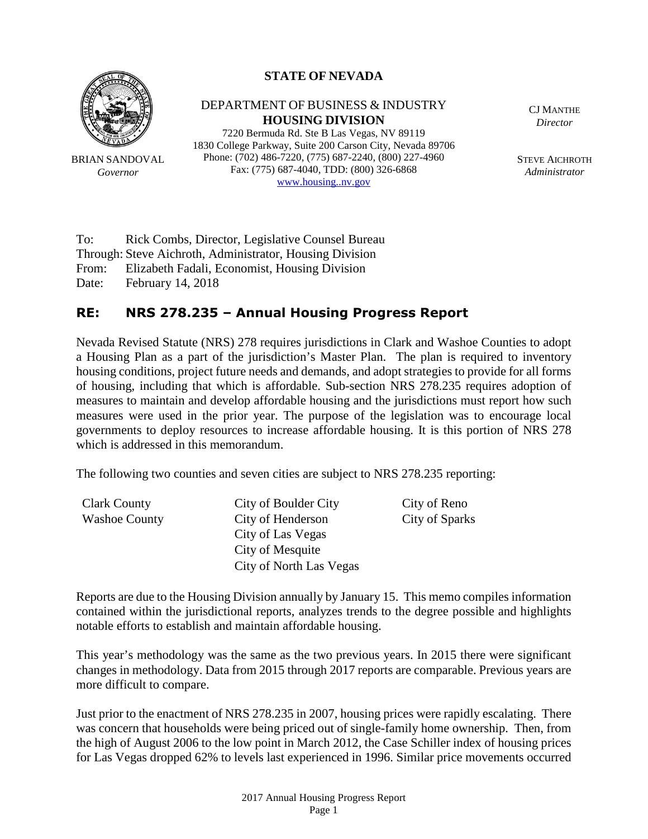

BRIAN SANDOVAL *Governor*

# **STATE OF NEVADA**

DEPARTMENT OF BUSINESS & INDUSTRY **HOUSING DIVISION** 

7220 Bermuda Rd. Ste B Las Vegas, NV 89119 1830 College Parkway, Suite 200 Carson City, Nevada 89706 Phone: (702) 486-7220, (775) 687-2240, (800) 227-4960 Fax: (775) 687-4040, TDD: (800) 326-6868 www.housing..nv.gov

CJ MANTHE *Director* 

STEVE AICHROTH *Administrator*

To: Rick Combs, Director, Legislative Counsel Bureau Through: Steve Aichroth, Administrator, Housing Division From: Elizabeth Fadali, Economist, Housing Division Date: February 14, 2018

# **RE: NRS 278.235 – Annual Housing Progress Report**

Nevada Revised Statute (NRS) 278 requires jurisdictions in Clark and Washoe Counties to adopt a Housing Plan as a part of the jurisdiction's Master Plan. The plan is required to inventory housing conditions, project future needs and demands, and adopt strategies to provide for all forms of housing, including that which is affordable. Sub-section NRS 278.235 requires adoption of measures to maintain and develop affordable housing and the jurisdictions must report how such measures were used in the prior year. The purpose of the legislation was to encourage local governments to deploy resources to increase affordable housing. It is this portion of NRS 278 which is addressed in this memorandum.

The following two counties and seven cities are subject to NRS 278.235 reporting:

| <b>Clark County</b>  | City of Boulder City    | City of Reno   |
|----------------------|-------------------------|----------------|
| <b>Washoe County</b> | City of Henderson       | City of Sparks |
|                      | City of Las Vegas       |                |
|                      | City of Mesquite        |                |
|                      | City of North Las Vegas |                |

Reports are due to the Housing Division annually by January 15. This memo compiles information contained within the jurisdictional reports, analyzes trends to the degree possible and highlights notable efforts to establish and maintain affordable housing.

This year's methodology was the same as the two previous years. In 2015 there were significant changes in methodology. Data from 2015 through 2017 reports are comparable. Previous years are more difficult to compare.

Just prior to the enactment of NRS 278.235 in 2007, housing prices were rapidly escalating. There was concern that households were being priced out of single-family home ownership. Then, from the high of August 2006 to the low point in March 2012, the Case Schiller index of housing prices for Las Vegas dropped 62% to levels last experienced in 1996. Similar price movements occurred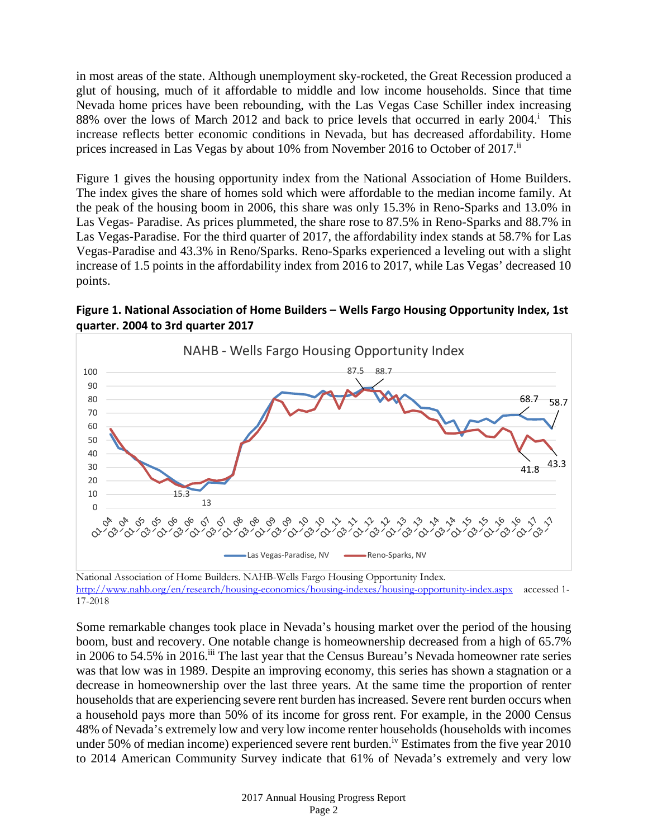in most areas of the state. Although unemployment sky-rocketed, the Great Recession produced a glut of housing, much of it affordable to middle and low income households. Since that time Nevada home prices have been rebounding, with the Las Vegas Case Schiller index increasing 88% over the lows of March 2012 and back to price levels that occurred in early 2004.<sup>i</sup> This increase reflects better economic conditions in Nevada, but has decreased affordability. Home prices increased in Las Vegas by about 10% from November 2016 to October of 2017.ii

Figure 1 gives the housing opportunity index from the National Association of Home Builders. The index gives the share of homes sold which were affordable to the median income family. At the peak of the housing boom in 2006, this share was only 15.3% in Reno-Sparks and 13.0% in Las Vegas- Paradise. As prices plummeted, the share rose to 87.5% in Reno-Sparks and 88.7% in Las Vegas-Paradise. For the third quarter of 2017, the affordability index stands at 58.7% for Las Vegas-Paradise and 43.3% in Reno/Sparks. Reno-Sparks experienced a leveling out with a slight increase of 1.5 points in the affordability index from 2016 to 2017, while Las Vegas' decreased 10 points.





National Association of Home Builders. NAHB-Wells Fargo Housing Opportunity Index. http://www.nahb.org/en/research/housing-economics/housing-indexes/housing-opportunity-index.aspx accessed 1- 17-2018

Some remarkable changes took place in Nevada's housing market over the period of the housing boom, bust and recovery. One notable change is homeownership decreased from a high of 65.7% in 2006 to 54.5% in 2016.<sup>iii</sup> The last year that the Census Bureau's Nevada homeowner rate series was that low was in 1989. Despite an improving economy, this series has shown a stagnation or a decrease in homeownership over the last three years. At the same time the proportion of renter households that are experiencing severe rent burden has increased. Severe rent burden occurs when a household pays more than 50% of its income for gross rent. For example, in the 2000 Census 48% of Nevada's extremely low and very low income renter households (households with incomes under 50% of median income) experienced severe rent burden.<sup>iv</sup> Estimates from the five year 2010 to 2014 American Community Survey indicate that 61% of Nevada's extremely and very low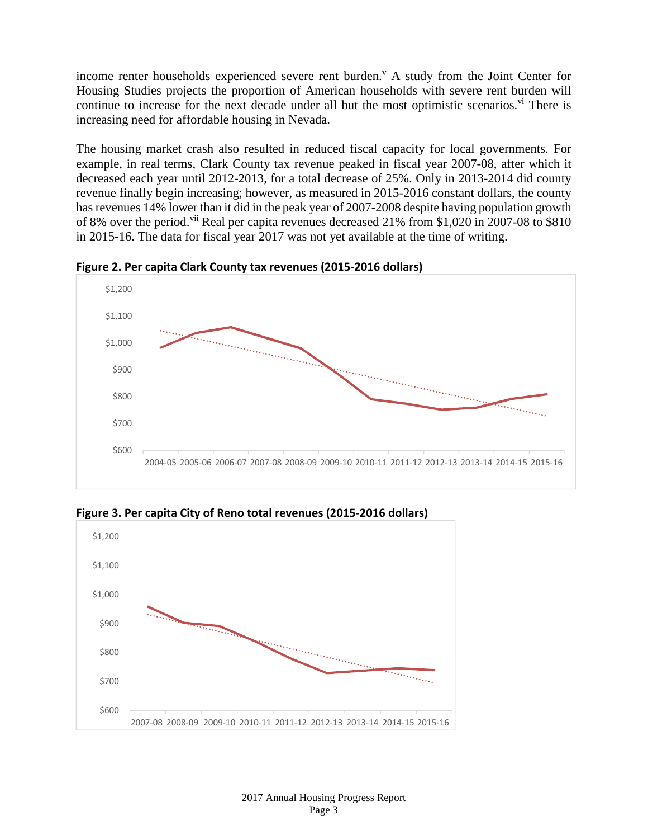income renter households experienced severe rent burden. A study from the Joint Center for Housing Studies projects the proportion of American households with severe rent burden will continue to increase for the next decade under all but the most optimistic scenarios.<sup>vi</sup> There is increasing need for affordable housing in Nevada.

The housing market crash also resulted in reduced fiscal capacity for local governments. For example, in real terms, Clark County tax revenue peaked in fiscal year 2007-08, after which it decreased each year until 2012-2013, for a total decrease of 25%. Only in 2013-2014 did county revenue finally begin increasing; however, as measured in 2015-2016 constant dollars, the county has revenues 14% lower than it did in the peak year of 2007-2008 despite having population growth of 8% over the period.<sup>vii</sup> Real per capita revenues decreased 21% from \$1,020 in 2007-08 to \$810 in 2015-16. The data for fiscal year 2017 was not yet available at the time of writing.



**Figure 2. Per capita Clark County tax revenues (2015-2016 dollars)** 

**Figure 3. Per capita City of Reno total revenues (2015-2016 dollars)** 

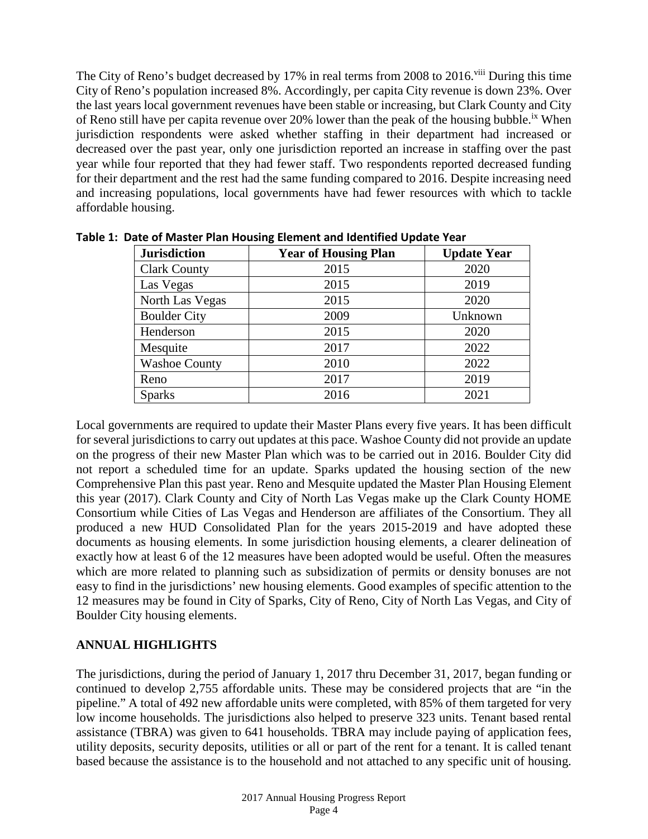The City of Reno's budget decreased by 17% in real terms from 2008 to 2016.<sup>viii</sup> During this time City of Reno's population increased 8%. Accordingly, per capita City revenue is down 23%. Over the last years local government revenues have been stable or increasing, but Clark County and City of Reno still have per capita revenue over 20% lower than the peak of the housing bubble.<sup>ix</sup> When jurisdiction respondents were asked whether staffing in their department had increased or decreased over the past year, only one jurisdiction reported an increase in staffing over the past year while four reported that they had fewer staff. Two respondents reported decreased funding for their department and the rest had the same funding compared to 2016. Despite increasing need and increasing populations, local governments have had fewer resources with which to tackle affordable housing.

| <b>Jurisdiction</b>  | <b>Year of Housing Plan</b> | <b>Update Year</b> |
|----------------------|-----------------------------|--------------------|
| <b>Clark County</b>  | 2015                        | 2020               |
| Las Vegas            | 2015                        | 2019               |
| North Las Vegas      | 2015                        | 2020               |
| <b>Boulder City</b>  | 2009                        | Unknown            |
| Henderson            | 2015                        | 2020               |
| Mesquite             | 2017                        | 2022               |
| <b>Washoe County</b> | 2010                        | 2022               |
| Reno                 | 2017                        | 2019               |
| <b>Sparks</b>        | 2016                        | 2021               |

**Table 1: Date of Master Plan Housing Element and Identified Update Year** 

Local governments are required to update their Master Plans every five years. It has been difficult for several jurisdictions to carry out updates at this pace. Washoe County did not provide an update on the progress of their new Master Plan which was to be carried out in 2016. Boulder City did not report a scheduled time for an update. Sparks updated the housing section of the new Comprehensive Plan this past year. Reno and Mesquite updated the Master Plan Housing Element this year (2017). Clark County and City of North Las Vegas make up the Clark County HOME Consortium while Cities of Las Vegas and Henderson are affiliates of the Consortium. They all produced a new HUD Consolidated Plan for the years 2015-2019 and have adopted these documents as housing elements. In some jurisdiction housing elements, a clearer delineation of exactly how at least 6 of the 12 measures have been adopted would be useful. Often the measures which are more related to planning such as subsidization of permits or density bonuses are not easy to find in the jurisdictions' new housing elements. Good examples of specific attention to the 12 measures may be found in City of Sparks, City of Reno, City of North Las Vegas, and City of Boulder City housing elements.

# **ANNUAL HIGHLIGHTS**

The jurisdictions, during the period of January 1, 2017 thru December 31, 2017, began funding or continued to develop 2,755 affordable units. These may be considered projects that are "in the pipeline." A total of 492 new affordable units were completed, with 85% of them targeted for very low income households. The jurisdictions also helped to preserve 323 units. Tenant based rental assistance (TBRA) was given to 641 households. TBRA may include paying of application fees, utility deposits, security deposits, utilities or all or part of the rent for a tenant. It is called tenant based because the assistance is to the household and not attached to any specific unit of housing.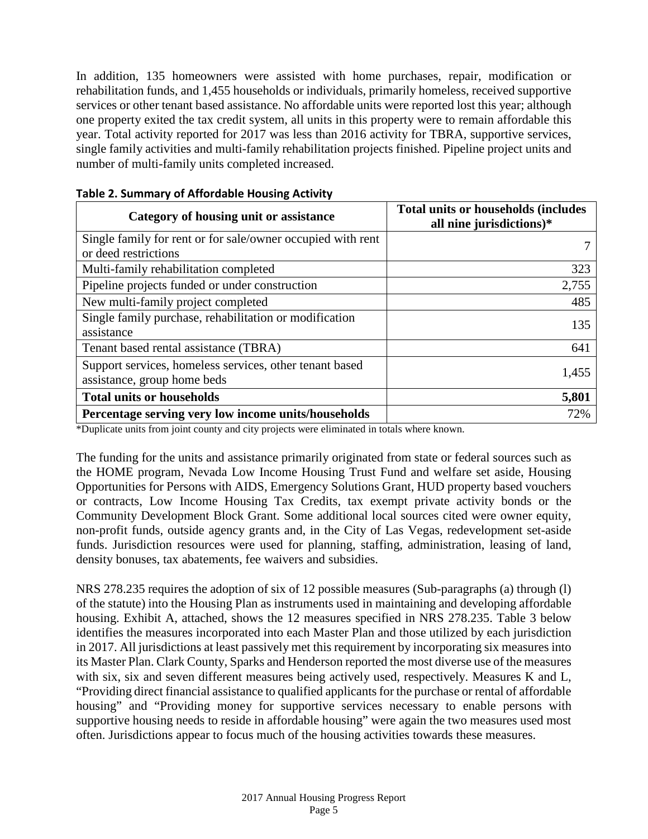In addition, 135 homeowners were assisted with home purchases, repair, modification or rehabilitation funds, and 1,455 households or individuals, primarily homeless, received supportive services or other tenant based assistance. No affordable units were reported lost this year; although one property exited the tax credit system, all units in this property were to remain affordable this year. Total activity reported for 2017 was less than 2016 activity for TBRA, supportive services, single family activities and multi-family rehabilitation projects finished. Pipeline project units and number of multi-family units completed increased.

| Category of housing unit or assistance                      | <b>Total units or households (includes)</b><br>all nine jurisdictions)* |
|-------------------------------------------------------------|-------------------------------------------------------------------------|
| Single family for rent or for sale/owner occupied with rent |                                                                         |
| or deed restrictions                                        |                                                                         |
| Multi-family rehabilitation completed                       | 323                                                                     |
| Pipeline projects funded or under construction              | 2,755                                                                   |
| New multi-family project completed                          | 485                                                                     |
| Single family purchase, rehabilitation or modification      | 135                                                                     |
| assistance                                                  |                                                                         |
| Tenant based rental assistance (TBRA)                       | 641                                                                     |
| Support services, homeless services, other tenant based     | 1,455                                                                   |
| assistance, group home beds                                 |                                                                         |
| <b>Total units or households</b>                            | 5,801                                                                   |
| Percentage serving very low income units/households         | 72%                                                                     |

## **Table 2. Summary of Affordable Housing Activity**

\*Duplicate units from joint county and city projects were eliminated in totals where known.

The funding for the units and assistance primarily originated from state or federal sources such as the HOME program, Nevada Low Income Housing Trust Fund and welfare set aside, Housing Opportunities for Persons with AIDS, Emergency Solutions Grant, HUD property based vouchers or contracts, Low Income Housing Tax Credits, tax exempt private activity bonds or the Community Development Block Grant. Some additional local sources cited were owner equity, non-profit funds, outside agency grants and, in the City of Las Vegas, redevelopment set-aside funds. Jurisdiction resources were used for planning, staffing, administration, leasing of land, density bonuses, tax abatements, fee waivers and subsidies.

NRS 278.235 requires the adoption of six of 12 possible measures (Sub-paragraphs (a) through (l) of the statute) into the Housing Plan as instruments used in maintaining and developing affordable housing. Exhibit A, attached, shows the 12 measures specified in NRS 278.235. Table 3 below identifies the measures incorporated into each Master Plan and those utilized by each jurisdiction in 2017. All jurisdictions at least passively met this requirement by incorporating six measures into its Master Plan. Clark County, Sparks and Henderson reported the most diverse use of the measures with six, six and seven different measures being actively used, respectively. Measures K and L, "Providing direct financial assistance to qualified applicants for the purchase or rental of affordable housing" and "Providing money for supportive services necessary to enable persons with supportive housing needs to reside in affordable housing" were again the two measures used most often. Jurisdictions appear to focus much of the housing activities towards these measures.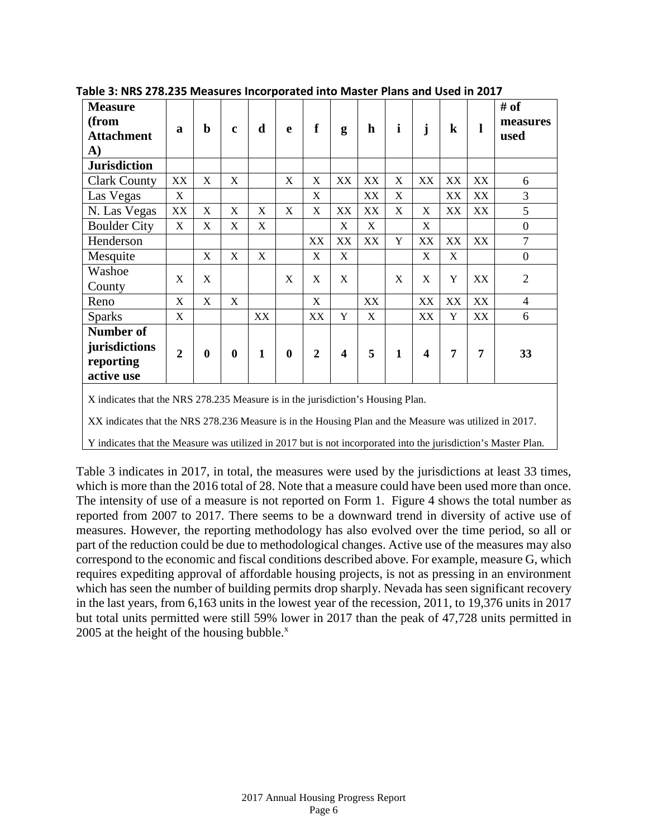| $\mathbf{a}$   | $\mathbf b$               | $\mathbf c$               | d            | e        | f                         | g  | $\mathbf h$ | i           | $\mathbf{j}$              | $\bf k$ | l  | # of<br>measures<br>used |
|----------------|---------------------------|---------------------------|--------------|----------|---------------------------|----|-------------|-------------|---------------------------|---------|----|--------------------------|
|                |                           |                           |              |          |                           |    |             |             |                           |         |    |                          |
| XX             | $\mathbf X$               | $\mathbf X$               |              | X        | $\boldsymbol{\mathrm{X}}$ | XX | XX          | $\mathbf X$ | XX                        | XX      | XX | 6                        |
| X              |                           |                           |              |          | X                         |    | XX          | X           |                           | XX      | XX | 3                        |
| XX             | $\mathbf X$               | X                         | X            | X        | X                         | XX | XX          | X           | X                         | XX      | XX | 5                        |
| X              | X                         | X                         | X            |          |                           | X  | X           |             | X                         |         |    | $\boldsymbol{0}$         |
|                |                           |                           |              |          | XX                        | XX | XX          | Y           | XX                        | XX      | XX | $\overline{7}$           |
|                | $\boldsymbol{\mathrm{X}}$ | $\mathbf X$               | X            |          | $\boldsymbol{\mathrm{X}}$ | X  |             |             | $\boldsymbol{\mathrm{X}}$ | X       |    | $\boldsymbol{0}$         |
| X              | X                         |                           |              | X        | X                         | X  |             | X           | X                         | Y       | XX | $\overline{2}$           |
| $\mathbf X$    | $\mathbf X$               | $\boldsymbol{\mathrm{X}}$ |              |          | $\boldsymbol{\mathrm{X}}$ |    | XX          |             | XX                        | XX      | XX | $\overline{4}$           |
| X              |                           |                           | XX           |          | XX                        | Y  | X           |             | XX                        | Y       | XX | 6                        |
| $\overline{2}$ | $\bf{0}$                  | $\bf{0}$                  | $\mathbf{1}$ | $\bf{0}$ | $\overline{2}$            | 4  | 5           | 1           | $\overline{\mathbf{4}}$   | 7       | 7  | 33                       |
|                |                           |                           |              |          |                           |    |             |             |                           |         |    |                          |

**Table 3: NRS 278.235 Measures Incorporated into Master Plans and Used in 2017** 

35 Measure is in the jurisdiction's Housing Plan.

XX indicates that the NRS 278.236 Measure is in the Housing Plan and the Measure was utilized in 2017.

Y indicates that the Measure was utilized in 2017 but is not incorporated into the jurisdiction's Master Plan.

Table 3 indicates in 2017, in total, the measures were used by the jurisdictions at least 33 times, which is more than the 2016 total of 28. Note that a measure could have been used more than once. The intensity of use of a measure is not reported on Form 1. Figure 4 shows the total number as reported from 2007 to 2017. There seems to be a downward trend in diversity of active use of measures. However, the reporting methodology has also evolved over the time period, so all or part of the reduction could be due to methodological changes. Active use of the measures may also correspond to the economic and fiscal conditions described above. For example, measure G, which requires expediting approval of affordable housing projects, is not as pressing in an environment which has seen the number of building permits drop sharply. Nevada has seen significant recovery in the last years, from 6,163 units in the lowest year of the recession, 2011, to 19,376 units in 2017 but total units permitted were still 59% lower in 2017 than the peak of 47,728 units permitted in 2005 at the height of the housing bubble. $^x$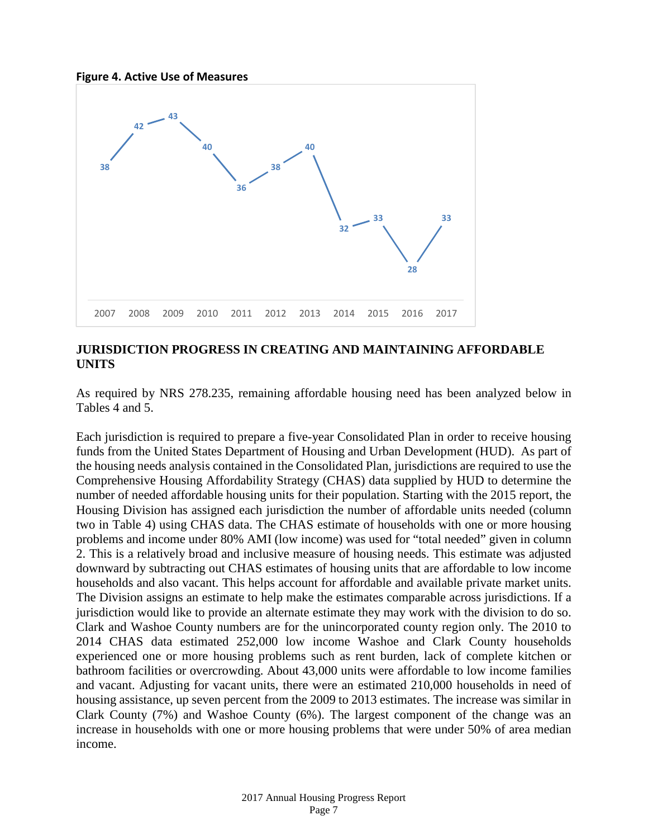



# **JURISDICTION PROGRESS IN CREATING AND MAINTAINING AFFORDABLE UNITS**

As required by NRS 278.235, remaining affordable housing need has been analyzed below in Tables 4 and 5.

Each jurisdiction is required to prepare a five-year Consolidated Plan in order to receive housing funds from the United States Department of Housing and Urban Development (HUD). As part of the housing needs analysis contained in the Consolidated Plan, jurisdictions are required to use the Comprehensive Housing Affordability Strategy (CHAS) data supplied by HUD to determine the number of needed affordable housing units for their population. Starting with the 2015 report, the Housing Division has assigned each jurisdiction the number of affordable units needed (column two in Table 4) using CHAS data. The CHAS estimate of households with one or more housing problems and income under 80% AMI (low income) was used for "total needed" given in column 2. This is a relatively broad and inclusive measure of housing needs. This estimate was adjusted downward by subtracting out CHAS estimates of housing units that are affordable to low income households and also vacant. This helps account for affordable and available private market units. The Division assigns an estimate to help make the estimates comparable across jurisdictions. If a jurisdiction would like to provide an alternate estimate they may work with the division to do so. Clark and Washoe County numbers are for the unincorporated county region only. The 2010 to 2014 CHAS data estimated 252,000 low income Washoe and Clark County households experienced one or more housing problems such as rent burden, lack of complete kitchen or bathroom facilities or overcrowding. About 43,000 units were affordable to low income families and vacant. Adjusting for vacant units, there were an estimated 210,000 households in need of housing assistance, up seven percent from the 2009 to 2013 estimates. The increase was similar in Clark County (7%) and Washoe County (6%). The largest component of the change was an increase in households with one or more housing problems that were under 50% of area median income.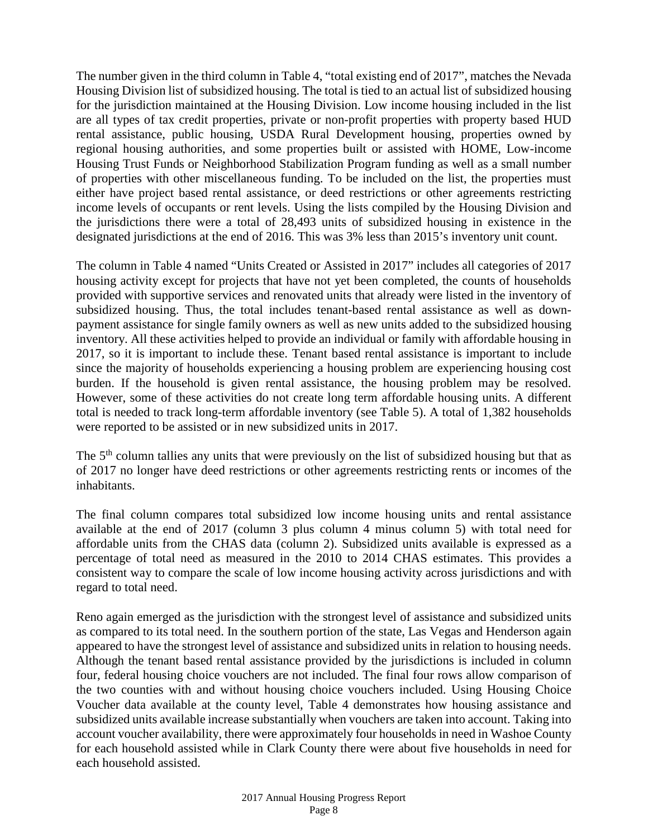The number given in the third column in Table 4, "total existing end of 2017", matches the Nevada Housing Division list of subsidized housing. The total is tied to an actual list of subsidized housing for the jurisdiction maintained at the Housing Division. Low income housing included in the list are all types of tax credit properties, private or non-profit properties with property based HUD rental assistance, public housing, USDA Rural Development housing, properties owned by regional housing authorities, and some properties built or assisted with HOME, Low-income Housing Trust Funds or Neighborhood Stabilization Program funding as well as a small number of properties with other miscellaneous funding. To be included on the list, the properties must either have project based rental assistance, or deed restrictions or other agreements restricting income levels of occupants or rent levels. Using the lists compiled by the Housing Division and the jurisdictions there were a total of 28,493 units of subsidized housing in existence in the designated jurisdictions at the end of 2016. This was 3% less than 2015's inventory unit count.

The column in Table 4 named "Units Created or Assisted in 2017" includes all categories of 2017 housing activity except for projects that have not yet been completed, the counts of households provided with supportive services and renovated units that already were listed in the inventory of subsidized housing. Thus, the total includes tenant-based rental assistance as well as downpayment assistance for single family owners as well as new units added to the subsidized housing inventory. All these activities helped to provide an individual or family with affordable housing in 2017, so it is important to include these. Tenant based rental assistance is important to include since the majority of households experiencing a housing problem are experiencing housing cost burden. If the household is given rental assistance, the housing problem may be resolved. However, some of these activities do not create long term affordable housing units. A different total is needed to track long-term affordable inventory (see Table 5). A total of 1,382 households were reported to be assisted or in new subsidized units in 2017.

The 5<sup>th</sup> column tallies any units that were previously on the list of subsidized housing but that as of 2017 no longer have deed restrictions or other agreements restricting rents or incomes of the inhabitants.

The final column compares total subsidized low income housing units and rental assistance available at the end of 2017 (column 3 plus column 4 minus column 5) with total need for affordable units from the CHAS data (column 2). Subsidized units available is expressed as a percentage of total need as measured in the 2010 to 2014 CHAS estimates. This provides a consistent way to compare the scale of low income housing activity across jurisdictions and with regard to total need.

Reno again emerged as the jurisdiction with the strongest level of assistance and subsidized units as compared to its total need. In the southern portion of the state, Las Vegas and Henderson again appeared to have the strongest level of assistance and subsidized units in relation to housing needs. Although the tenant based rental assistance provided by the jurisdictions is included in column four, federal housing choice vouchers are not included. The final four rows allow comparison of the two counties with and without housing choice vouchers included. Using Housing Choice Voucher data available at the county level, Table 4 demonstrates how housing assistance and subsidized units available increase substantially when vouchers are taken into account. Taking into account voucher availability, there were approximately four households in need in Washoe County for each household assisted while in Clark County there were about five households in need for each household assisted.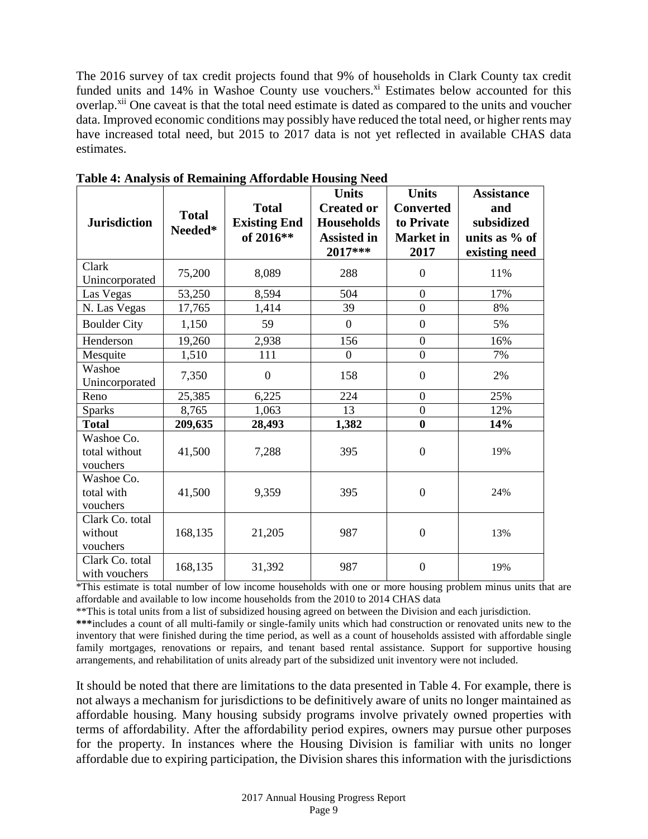The 2016 survey of tax credit projects found that 9% of households in Clark County tax credit funded units and 14% in Washoe County use vouchers.<sup>xi</sup> Estimates below accounted for this overlap.<sup>xii</sup> One caveat is that the total need estimate is dated as compared to the units and voucher data. Improved economic conditions may possibly have reduced the total need, or higher rents may have increased total need, but 2015 to 2017 data is not yet reflected in available CHAS data estimates.

|                     |              | raoic + maryois or remaining mroraable rioasing reca |                                                        |                                                |                                        |
|---------------------|--------------|------------------------------------------------------|--------------------------------------------------------|------------------------------------------------|----------------------------------------|
| <b>Jurisdiction</b> | <b>Total</b> | <b>Total</b><br><b>Existing End</b>                  | <b>Units</b><br><b>Created or</b><br><b>Households</b> | <b>Units</b><br><b>Converted</b><br>to Private | <b>Assistance</b><br>and<br>subsidized |
|                     | Needed*      | of 2016**                                            | <b>Assisted in</b>                                     | <b>Market</b> in                               | units as % of                          |
|                     |              |                                                      | 2017***                                                | 2017                                           | existing need                          |
| Clark               |              |                                                      |                                                        |                                                |                                        |
| Unincorporated      | 75,200       | 8,089                                                | 288                                                    | $\boldsymbol{0}$                               | 11%                                    |
| Las Vegas           | 53,250       | 8,594                                                | 504                                                    | $\overline{0}$                                 | 17%                                    |
| N. Las Vegas        | 17,765       | 1,414                                                | 39                                                     | $\overline{0}$                                 | 8%                                     |
| <b>Boulder City</b> | 1,150        | 59                                                   | $\boldsymbol{0}$                                       | $\boldsymbol{0}$                               | 5%                                     |
| Henderson           | 19,260       | 2,938                                                | 156                                                    | $\overline{0}$                                 | 16%                                    |
| Mesquite            | 1,510        | 111                                                  | $\overline{0}$                                         | $\overline{0}$                                 | 7%                                     |
| Washoe              |              | $\overline{0}$                                       | 158                                                    | $\mathbf{0}$                                   | 2%                                     |
| Unincorporated      | 7,350        |                                                      |                                                        |                                                |                                        |
| Reno                | 25,385       | 6,225                                                | 224                                                    | $\overline{0}$                                 | 25%                                    |
| <b>Sparks</b>       | 8,765        | 1,063                                                | 13                                                     | $\overline{0}$                                 | 12%                                    |
| <b>Total</b>        | 209,635      | 28,493                                               | 1,382                                                  | $\bf{0}$                                       | 14%                                    |
| Washoe Co.          |              |                                                      |                                                        |                                                |                                        |
| total without       | 41,500       | 7,288                                                | 395                                                    | $\boldsymbol{0}$                               | 19%                                    |
| vouchers            |              |                                                      |                                                        |                                                |                                        |
| Washoe Co.          |              |                                                      |                                                        |                                                |                                        |
| total with          | 41,500       | 9,359                                                | 395                                                    | $\boldsymbol{0}$                               | 24%                                    |
| vouchers            |              |                                                      |                                                        |                                                |                                        |
| Clark Co. total     |              |                                                      |                                                        |                                                |                                        |
| without             | 168,135      | 21,205                                               | 987                                                    | $\mathbf{0}$                                   | 13%                                    |
| vouchers            |              |                                                      |                                                        |                                                |                                        |
| Clark Co. total     | 168,135      | 31,392                                               | 987                                                    | $\mathbf{0}$                                   | 19%                                    |
| with vouchers       |              |                                                      |                                                        |                                                |                                        |

**Table 4: Analysis of Remaining Affordable Housing Need** 

\*This estimate is total number of low income households with one or more housing problem minus units that are affordable and available to low income households from the 2010 to 2014 CHAS data

\*\*This is total units from a list of subsidized housing agreed on between the Division and each jurisdiction.

**\*\*\***includes a count of all multi-family or single-family units which had construction or renovated units new to the inventory that were finished during the time period, as well as a count of households assisted with affordable single family mortgages, renovations or repairs, and tenant based rental assistance. Support for supportive housing arrangements, and rehabilitation of units already part of the subsidized unit inventory were not included.

It should be noted that there are limitations to the data presented in Table 4. For example, there is not always a mechanism for jurisdictions to be definitively aware of units no longer maintained as affordable housing. Many housing subsidy programs involve privately owned properties with terms of affordability. After the affordability period expires, owners may pursue other purposes for the property. In instances where the Housing Division is familiar with units no longer affordable due to expiring participation, the Division shares this information with the jurisdictions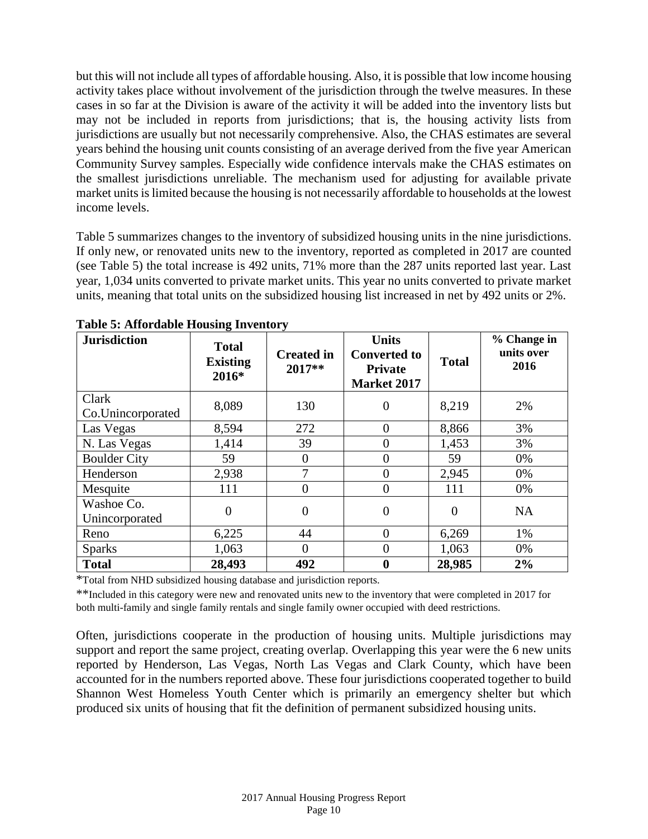but this will not include all types of affordable housing. Also, it is possible that low income housing activity takes place without involvement of the jurisdiction through the twelve measures. In these cases in so far at the Division is aware of the activity it will be added into the inventory lists but may not be included in reports from jurisdictions; that is, the housing activity lists from jurisdictions are usually but not necessarily comprehensive. Also, the CHAS estimates are several years behind the housing unit counts consisting of an average derived from the five year American Community Survey samples. Especially wide confidence intervals make the CHAS estimates on the smallest jurisdictions unreliable. The mechanism used for adjusting for available private market units is limited because the housing is not necessarily affordable to households at the lowest income levels.

Table 5 summarizes changes to the inventory of subsidized housing units in the nine jurisdictions. If only new, or renovated units new to the inventory, reported as completed in 2017 are counted (see Table 5) the total increase is 492 units, 71% more than the 287 units reported last year. Last year, 1,034 units converted to private market units. This year no units converted to private market units, meaning that total units on the subsidized housing list increased in net by 492 units or 2%.

| <b>Jurisdiction</b>          | <b>Total</b><br><b>Existing</b><br>2016* | <b>Created in</b><br>2017** | <b>Units</b><br><b>Converted to</b><br><b>Private</b><br><b>Market 2017</b> | <b>Total</b> | % Change in<br>units over<br>2016 |
|------------------------------|------------------------------------------|-----------------------------|-----------------------------------------------------------------------------|--------------|-----------------------------------|
| Clark<br>Co.Unincorporated   | 8,089                                    | 130                         | $\theta$                                                                    | 8,219        | 2%                                |
| Las Vegas                    | 8,594                                    | 272                         | 0                                                                           | 8,866        | 3%                                |
| N. Las Vegas                 | 1,414                                    | 39                          | 0                                                                           | 1,453        | 3%                                |
| <b>Boulder City</b>          | 59                                       | $\theta$                    | 0                                                                           | 59           | 0%                                |
| Henderson                    | 2,938                                    | 7                           | 0                                                                           | 2,945        | 0%                                |
| Mesquite                     | 111                                      | $\overline{0}$              | 0                                                                           | 111          | 0%                                |
| Washoe Co.<br>Unincorporated | 0                                        | $\overline{0}$              | 0                                                                           | $\theta$     | <b>NA</b>                         |
| Reno                         | 6,225                                    | 44                          | $\theta$                                                                    | 6,269        | 1%                                |
| <b>Sparks</b>                | 1,063                                    | $\overline{0}$              | 0                                                                           | 1,063        | 0%                                |
| <b>Total</b>                 | 28,493                                   | 492                         | 0                                                                           | 28,985       | 2%                                |

**Table 5: Affordable Housing Inventory** 

\*Total from NHD subsidized housing database and jurisdiction reports.

\*\*Included in this category were new and renovated units new to the inventory that were completed in 2017 for both multi-family and single family rentals and single family owner occupied with deed restrictions.

Often, jurisdictions cooperate in the production of housing units. Multiple jurisdictions may support and report the same project, creating overlap. Overlapping this year were the 6 new units reported by Henderson, Las Vegas, North Las Vegas and Clark County, which have been accounted for in the numbers reported above. These four jurisdictions cooperated together to build Shannon West Homeless Youth Center which is primarily an emergency shelter but which produced six units of housing that fit the definition of permanent subsidized housing units.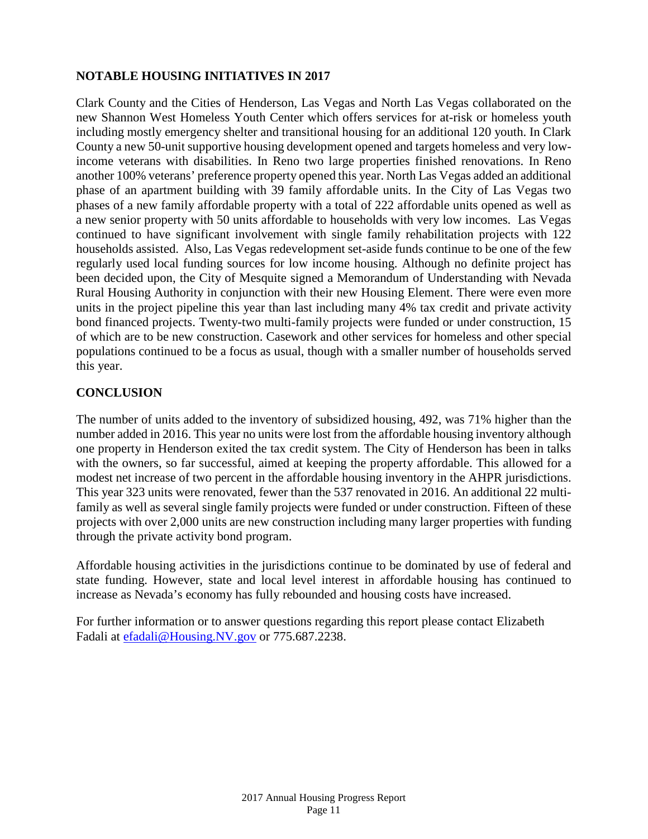# **NOTABLE HOUSING INITIATIVES IN 2017**

Clark County and the Cities of Henderson, Las Vegas and North Las Vegas collaborated on the new Shannon West Homeless Youth Center which offers services for at-risk or homeless youth including mostly emergency shelter and transitional housing for an additional 120 youth. In Clark County a new 50-unit supportive housing development opened and targets homeless and very lowincome veterans with disabilities. In Reno two large properties finished renovations. In Reno another 100% veterans' preference property opened this year. North Las Vegas added an additional phase of an apartment building with 39 family affordable units. In the City of Las Vegas two phases of a new family affordable property with a total of 222 affordable units opened as well as a new senior property with 50 units affordable to households with very low incomes. Las Vegas continued to have significant involvement with single family rehabilitation projects with 122 households assisted. Also, Las Vegas redevelopment set-aside funds continue to be one of the few regularly used local funding sources for low income housing. Although no definite project has been decided upon, the City of Mesquite signed a Memorandum of Understanding with Nevada Rural Housing Authority in conjunction with their new Housing Element. There were even more units in the project pipeline this year than last including many 4% tax credit and private activity bond financed projects. Twenty-two multi-family projects were funded or under construction, 15 of which are to be new construction. Casework and other services for homeless and other special populations continued to be a focus as usual, though with a smaller number of households served this year.

# **CONCLUSION**

The number of units added to the inventory of subsidized housing, 492, was 71% higher than the number added in 2016. This year no units were lost from the affordable housing inventory although one property in Henderson exited the tax credit system. The City of Henderson has been in talks with the owners, so far successful, aimed at keeping the property affordable. This allowed for a modest net increase of two percent in the affordable housing inventory in the AHPR jurisdictions. This year 323 units were renovated, fewer than the 537 renovated in 2016. An additional 22 multifamily as well as several single family projects were funded or under construction. Fifteen of these projects with over 2,000 units are new construction including many larger properties with funding through the private activity bond program.

Affordable housing activities in the jurisdictions continue to be dominated by use of federal and state funding. However, state and local level interest in affordable housing has continued to increase as Nevada's economy has fully rebounded and housing costs have increased.

For further information or to answer questions regarding this report please contact Elizabeth Fadali at efadali@Housing.NV.gov or 775.687.2238.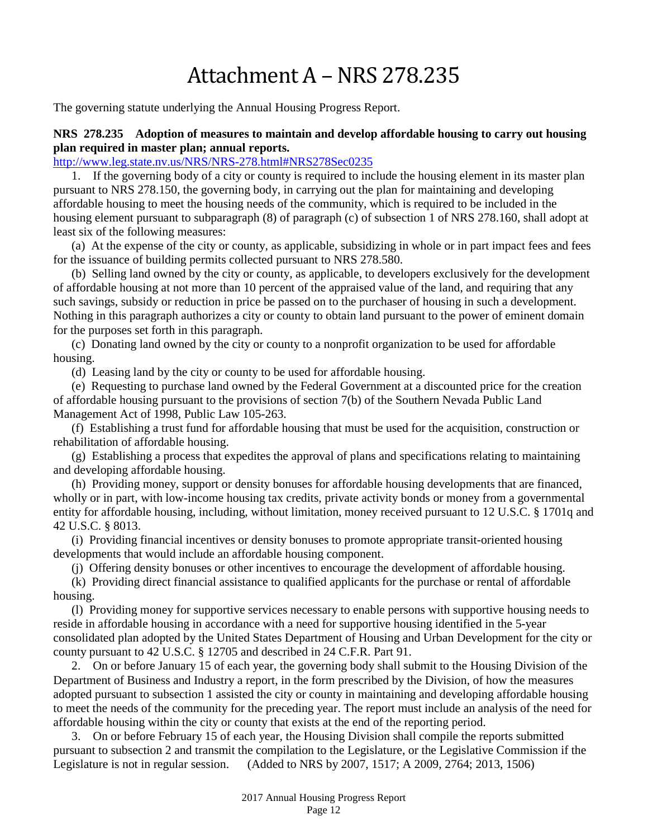# Attachment A – NRS 278.235

The governing statute underlying the Annual Housing Progress Report.

# **NRS 278.235 Adoption of measures to maintain and develop affordable housing to carry out housing plan required in master plan; annual reports.**

http://www.leg.state.nv.us/NRS/NRS-278.html#NRS278Sec0235

 1. If the governing body of a city or county is required to include the housing element in its master plan pursuant to NRS 278.150, the governing body, in carrying out the plan for maintaining and developing affordable housing to meet the housing needs of the community, which is required to be included in the housing element pursuant to subparagraph (8) of paragraph (c) of subsection 1 of NRS 278.160, shall adopt at least six of the following measures:

 (a) At the expense of the city or county, as applicable, subsidizing in whole or in part impact fees and fees for the issuance of building permits collected pursuant to NRS 278.580.

 (b) Selling land owned by the city or county, as applicable, to developers exclusively for the development of affordable housing at not more than 10 percent of the appraised value of the land, and requiring that any such savings, subsidy or reduction in price be passed on to the purchaser of housing in such a development. Nothing in this paragraph authorizes a city or county to obtain land pursuant to the power of eminent domain for the purposes set forth in this paragraph.

 (c) Donating land owned by the city or county to a nonprofit organization to be used for affordable housing.

(d) Leasing land by the city or county to be used for affordable housing.

 (e) Requesting to purchase land owned by the Federal Government at a discounted price for the creation of affordable housing pursuant to the provisions of section 7(b) of the Southern Nevada Public Land Management Act of 1998, Public Law 105-263.

 (f) Establishing a trust fund for affordable housing that must be used for the acquisition, construction or rehabilitation of affordable housing.

 (g) Establishing a process that expedites the approval of plans and specifications relating to maintaining and developing affordable housing.

 (h) Providing money, support or density bonuses for affordable housing developments that are financed, wholly or in part, with low-income housing tax credits, private activity bonds or money from a governmental entity for affordable housing, including, without limitation, money received pursuant to 12 U.S.C. § 1701q and 42 U.S.C. § 8013.

 (i) Providing financial incentives or density bonuses to promote appropriate transit-oriented housing developments that would include an affordable housing component.

(j) Offering density bonuses or other incentives to encourage the development of affordable housing.

 (k) Providing direct financial assistance to qualified applicants for the purchase or rental of affordable housing.

 (l) Providing money for supportive services necessary to enable persons with supportive housing needs to reside in affordable housing in accordance with a need for supportive housing identified in the 5-year consolidated plan adopted by the United States Department of Housing and Urban Development for the city or county pursuant to 42 U.S.C. § 12705 and described in 24 C.F.R. Part 91.

 2. On or before January 15 of each year, the governing body shall submit to the Housing Division of the Department of Business and Industry a report, in the form prescribed by the Division, of how the measures adopted pursuant to subsection 1 assisted the city or county in maintaining and developing affordable housing to meet the needs of the community for the preceding year. The report must include an analysis of the need for affordable housing within the city or county that exists at the end of the reporting period.

 3. On or before February 15 of each year, the Housing Division shall compile the reports submitted pursuant to subsection 2 and transmit the compilation to the Legislature, or the Legislative Commission if the Legislature is not in regular session. (Added to NRS by 2007, 1517; A 2009, 2764; 2013, 1506)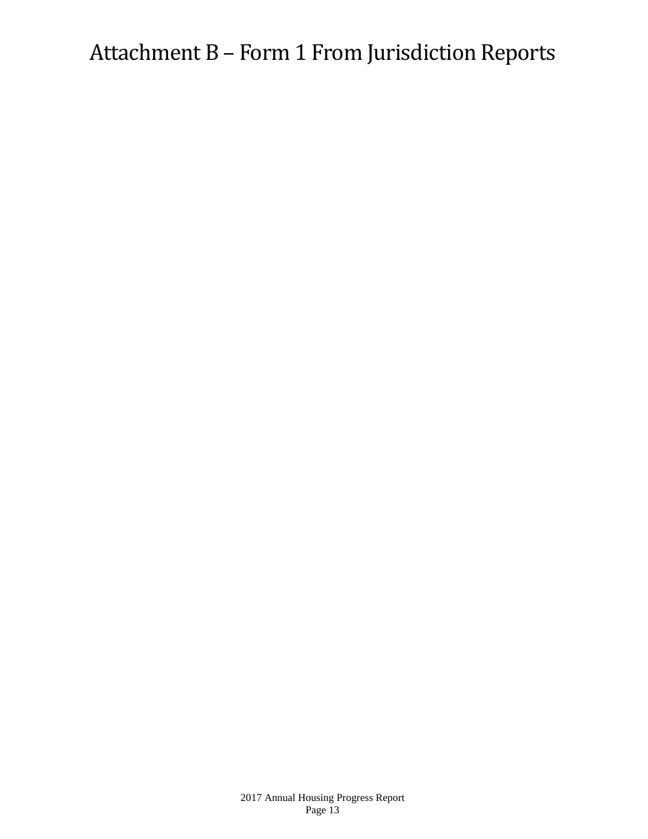# Attachment B – Form 1 From Jurisdiction Reports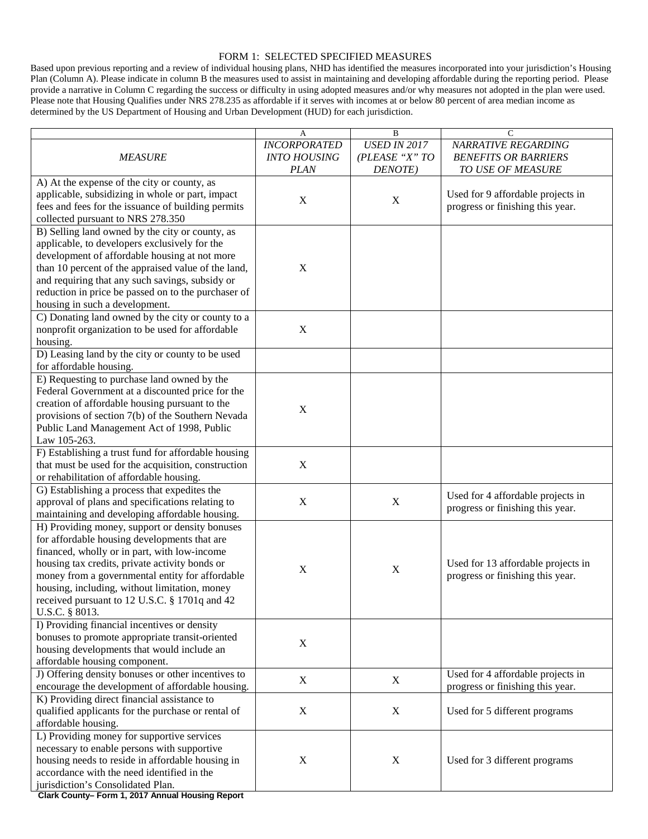Based upon previous reporting and a review of individual housing plans, NHD has identified the measures incorporated into your jurisdiction's Housing Plan (Column A). Please indicate in column B the measures used to assist in maintaining and developing affordable during the reporting period. Please provide a narrative in Column C regarding the success or difficulty in using adopted measures and/or why measures not adopted in the plan were used. Please note that Housing Qualifies under NRS 278.235 as affordable if it serves with incomes at or below 80 percent of area median income as determined by the US Department of Housing and Urban Development (HUD) for each jurisdiction.

|                                                                 | A                   | B                   | $\mathbf C$                        |
|-----------------------------------------------------------------|---------------------|---------------------|------------------------------------|
|                                                                 | <b>INCORPORATED</b> | <b>USED IN 2017</b> | <b>NARRATIVE REGARDING</b>         |
| <b>MEASURE</b>                                                  | <b>INTO HOUSING</b> | (PLEASE "X" TO      | <b>BENEFITS OR BARRIERS</b>        |
|                                                                 | <b>PLAN</b>         | DENOTE)             | TO USE OF MEASURE                  |
| A) At the expense of the city or county, as                     |                     |                     |                                    |
| applicable, subsidizing in whole or part, impact                |                     |                     | Used for 9 affordable projects in  |
| fees and fees for the issuance of building permits              | $\mathbf X$         | $\mathbf X$         | progress or finishing this year.   |
| collected pursuant to NRS 278.350                               |                     |                     |                                    |
| B) Selling land owned by the city or county, as                 |                     |                     |                                    |
| applicable, to developers exclusively for the                   |                     |                     |                                    |
| development of affordable housing at not more                   |                     |                     |                                    |
|                                                                 | $\mathbf X$         |                     |                                    |
| than 10 percent of the appraised value of the land,             |                     |                     |                                    |
| and requiring that any such savings, subsidy or                 |                     |                     |                                    |
| reduction in price be passed on to the purchaser of             |                     |                     |                                    |
| housing in such a development.                                  |                     |                     |                                    |
| C) Donating land owned by the city or county to a               |                     |                     |                                    |
| nonprofit organization to be used for affordable                | $\mathbf X$         |                     |                                    |
| housing.                                                        |                     |                     |                                    |
| D) Leasing land by the city or county to be used                |                     |                     |                                    |
| for affordable housing.                                         |                     |                     |                                    |
| E) Requesting to purchase land owned by the                     |                     |                     |                                    |
| Federal Government at a discounted price for the                |                     |                     |                                    |
| creation of affordable housing pursuant to the                  | X                   |                     |                                    |
| provisions of section 7(b) of the Southern Nevada               |                     |                     |                                    |
| Public Land Management Act of 1998, Public                      |                     |                     |                                    |
| Law 105-263.                                                    |                     |                     |                                    |
| F) Establishing a trust fund for affordable housing             |                     |                     |                                    |
| that must be used for the acquisition, construction             | $\mathbf X$         |                     |                                    |
| or rehabilitation of affordable housing.                        |                     |                     |                                    |
| G) Establishing a process that expedites the                    |                     |                     |                                    |
| approval of plans and specifications relating to                | X                   | X                   | Used for 4 affordable projects in  |
| maintaining and developing affordable housing.                  |                     |                     | progress or finishing this year.   |
| H) Providing money, support or density bonuses                  |                     |                     |                                    |
| for affordable housing developments that are                    |                     |                     |                                    |
| financed, wholly or in part, with low-income                    |                     |                     |                                    |
| housing tax credits, private activity bonds or                  |                     |                     | Used for 13 affordable projects in |
| money from a governmental entity for affordable                 | X                   | X                   | progress or finishing this year.   |
| housing, including, without limitation, money                   |                     |                     |                                    |
|                                                                 |                     |                     |                                    |
| received pursuant to 12 U.S.C. § 1701q and 42<br>U.S.C. § 8013. |                     |                     |                                    |
|                                                                 |                     |                     |                                    |
| I) Providing financial incentives or density                    |                     |                     |                                    |
| bonuses to promote appropriate transit-oriented                 | $\mathbf X$         |                     |                                    |
| housing developments that would include an                      |                     |                     |                                    |
| affordable housing component.                                   |                     |                     |                                    |
| J) Offering density bonuses or other incentives to              | $\mathbf X$         | X                   | Used for 4 affordable projects in  |
| encourage the development of affordable housing.                |                     |                     | progress or finishing this year.   |
| K) Providing direct financial assistance to                     |                     |                     |                                    |
| qualified applicants for the purchase or rental of              | $\mathbf X$         | $\mathbf X$         | Used for 5 different programs      |
| affordable housing.                                             |                     |                     |                                    |
| L) Providing money for supportive services                      |                     |                     |                                    |
| necessary to enable persons with supportive                     |                     |                     |                                    |
| housing needs to reside in affordable housing in                | $\mathbf X$         | X                   | Used for 3 different programs      |
| accordance with the need identified in the                      |                     |                     |                                    |
| jurisdiction's Consolidated Plan.                               |                     |                     |                                    |

**Clark County– Form 1, 2017 Annual Housing Report**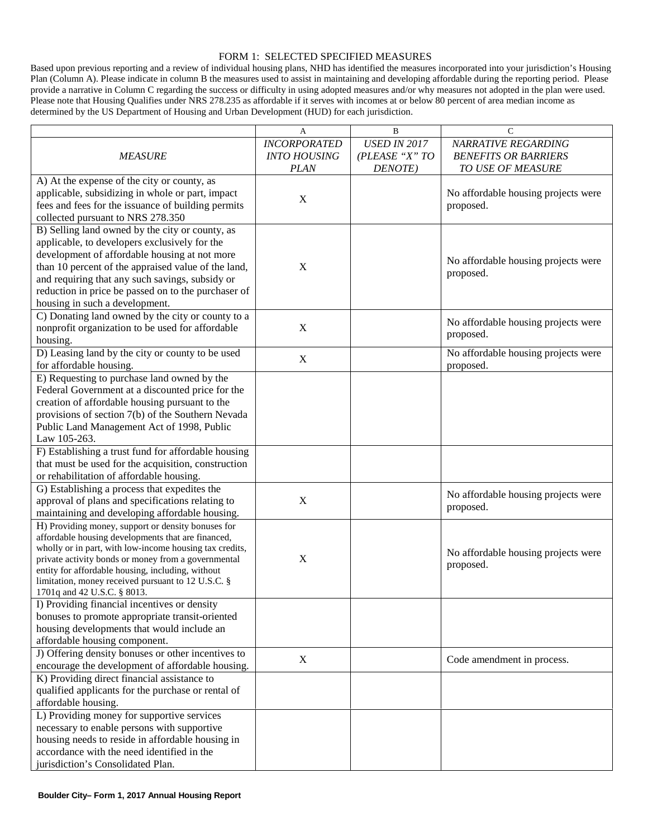|                                                                                                                | A                   | B                   | $\mathsf{C}$                                     |
|----------------------------------------------------------------------------------------------------------------|---------------------|---------------------|--------------------------------------------------|
|                                                                                                                | <b>INCORPORATED</b> | <b>USED IN 2017</b> | <b>NARRATIVE REGARDING</b>                       |
| <b>MEASURE</b>                                                                                                 | <b>INTO HOUSING</b> | (PLEASE "X" TO      | <b>BENEFITS OR BARRIERS</b>                      |
|                                                                                                                | <b>PLAN</b>         | DENOTE)             | TO USE OF MEASURE                                |
| A) At the expense of the city or county, as                                                                    |                     |                     |                                                  |
| applicable, subsidizing in whole or part, impact                                                               | X                   |                     | No affordable housing projects were              |
| fees and fees for the issuance of building permits                                                             |                     |                     | proposed.                                        |
| collected pursuant to NRS 278.350                                                                              |                     |                     |                                                  |
| B) Selling land owned by the city or county, as                                                                |                     |                     |                                                  |
| applicable, to developers exclusively for the                                                                  |                     |                     |                                                  |
| development of affordable housing at not more                                                                  |                     |                     |                                                  |
| than 10 percent of the appraised value of the land,                                                            | X                   |                     | No affordable housing projects were              |
| and requiring that any such savings, subsidy or                                                                |                     |                     | proposed.                                        |
| reduction in price be passed on to the purchaser of                                                            |                     |                     |                                                  |
| housing in such a development.                                                                                 |                     |                     |                                                  |
| C) Donating land owned by the city or county to a                                                              |                     |                     |                                                  |
| nonprofit organization to be used for affordable                                                               | $\mathbf X$         |                     | No affordable housing projects were<br>proposed. |
| housing.                                                                                                       |                     |                     |                                                  |
| D) Leasing land by the city or county to be used                                                               | $\mathbf X$         |                     | No affordable housing projects were              |
| for affordable housing.                                                                                        |                     |                     | proposed.                                        |
| E) Requesting to purchase land owned by the                                                                    |                     |                     |                                                  |
| Federal Government at a discounted price for the                                                               |                     |                     |                                                  |
| creation of affordable housing pursuant to the                                                                 |                     |                     |                                                  |
| provisions of section 7(b) of the Southern Nevada                                                              |                     |                     |                                                  |
| Public Land Management Act of 1998, Public                                                                     |                     |                     |                                                  |
| Law 105-263.                                                                                                   |                     |                     |                                                  |
| F) Establishing a trust fund for affordable housing                                                            |                     |                     |                                                  |
| that must be used for the acquisition, construction                                                            |                     |                     |                                                  |
| or rehabilitation of affordable housing.                                                                       |                     |                     |                                                  |
| G) Establishing a process that expedites the                                                                   |                     |                     | No affordable housing projects were              |
| approval of plans and specifications relating to                                                               | X                   |                     | proposed.                                        |
| maintaining and developing affordable housing.                                                                 |                     |                     |                                                  |
| H) Providing money, support or density bonuses for                                                             |                     |                     |                                                  |
| affordable housing developments that are financed,                                                             |                     |                     |                                                  |
| wholly or in part, with low-income housing tax credits,<br>private activity bonds or money from a governmental | X                   |                     | No affordable housing projects were              |
| entity for affordable housing, including, without                                                              |                     |                     | proposed.                                        |
| limitation, money received pursuant to 12 U.S.C. §                                                             |                     |                     |                                                  |
| 1701q and 42 U.S.C. § 8013.                                                                                    |                     |                     |                                                  |
| I) Providing financial incentives or density                                                                   |                     |                     |                                                  |
| bonuses to promote appropriate transit-oriented                                                                |                     |                     |                                                  |
| housing developments that would include an                                                                     |                     |                     |                                                  |
| affordable housing component.                                                                                  |                     |                     |                                                  |
| J) Offering density bonuses or other incentives to                                                             | $\mathbf X$         |                     |                                                  |
| encourage the development of affordable housing.                                                               |                     |                     | Code amendment in process.                       |
| K) Providing direct financial assistance to                                                                    |                     |                     |                                                  |
| qualified applicants for the purchase or rental of                                                             |                     |                     |                                                  |
| affordable housing.                                                                                            |                     |                     |                                                  |
| L) Providing money for supportive services                                                                     |                     |                     |                                                  |
| necessary to enable persons with supportive                                                                    |                     |                     |                                                  |
| housing needs to reside in affordable housing in                                                               |                     |                     |                                                  |
| accordance with the need identified in the                                                                     |                     |                     |                                                  |
| jurisdiction's Consolidated Plan.                                                                              |                     |                     |                                                  |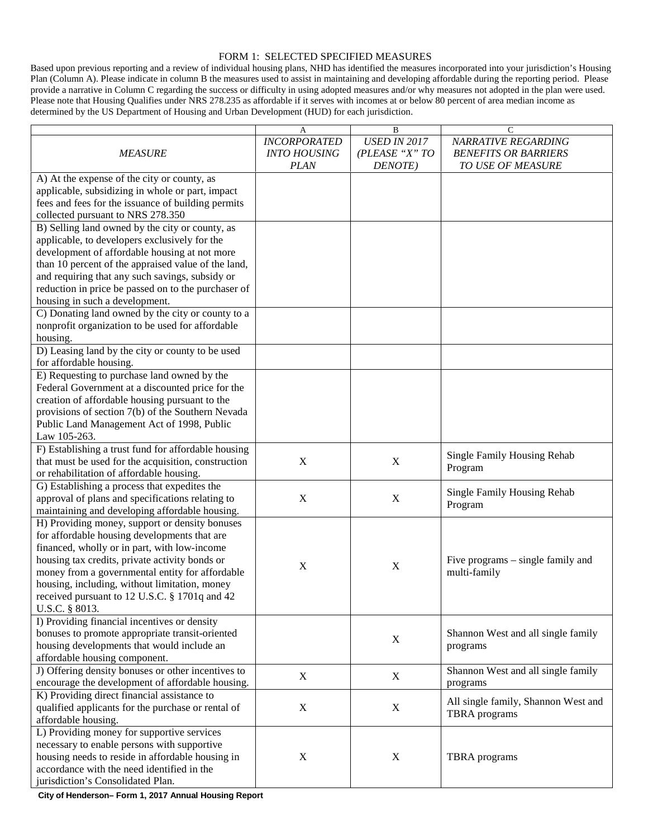Based upon previous reporting and a review of individual housing plans, NHD has identified the measures incorporated into your jurisdiction's Housing Plan (Column A). Please indicate in column B the measures used to assist in maintaining and developing affordable during the reporting period. Please provide a narrative in Column C regarding the success or difficulty in using adopted measures and/or why measures not adopted in the plan were used. Please note that Housing Qualifies under NRS 278.235 as affordable if it serves with incomes at or below 80 percent of area median income as determined by the US Department of Housing and Urban Development (HUD) for each jurisdiction.

|                                                     | A                   | B                   | $\mathsf{C}$                        |
|-----------------------------------------------------|---------------------|---------------------|-------------------------------------|
|                                                     | <b>INCORPORATED</b> | <b>USED IN 2017</b> | <b>NARRATIVE REGARDING</b>          |
| <b>MEASURE</b>                                      | <b>INTO HOUSING</b> | (PLEASE "X" TO      | <b>BENEFITS OR BARRIERS</b>         |
|                                                     | <b>PLAN</b>         | DENOTE)             | TO USE OF MEASURE                   |
| A) At the expense of the city or county, as         |                     |                     |                                     |
| applicable, subsidizing in whole or part, impact    |                     |                     |                                     |
| fees and fees for the issuance of building permits  |                     |                     |                                     |
| collected pursuant to NRS 278.350                   |                     |                     |                                     |
| B) Selling land owned by the city or county, as     |                     |                     |                                     |
| applicable, to developers exclusively for the       |                     |                     |                                     |
| development of affordable housing at not more       |                     |                     |                                     |
| than 10 percent of the appraised value of the land, |                     |                     |                                     |
| and requiring that any such savings, subsidy or     |                     |                     |                                     |
| reduction in price be passed on to the purchaser of |                     |                     |                                     |
| housing in such a development.                      |                     |                     |                                     |
| C) Donating land owned by the city or county to a   |                     |                     |                                     |
| nonprofit organization to be used for affordable    |                     |                     |                                     |
| housing.                                            |                     |                     |                                     |
| D) Leasing land by the city or county to be used    |                     |                     |                                     |
| for affordable housing.                             |                     |                     |                                     |
| E) Requesting to purchase land owned by the         |                     |                     |                                     |
| Federal Government at a discounted price for the    |                     |                     |                                     |
| creation of affordable housing pursuant to the      |                     |                     |                                     |
| provisions of section 7(b) of the Southern Nevada   |                     |                     |                                     |
| Public Land Management Act of 1998, Public          |                     |                     |                                     |
|                                                     |                     |                     |                                     |
| Law 105-263.                                        |                     |                     |                                     |
| F) Establishing a trust fund for affordable housing | $\mathbf X$         | $\mathbf X$         | Single Family Housing Rehab         |
| that must be used for the acquisition, construction |                     |                     | Program                             |
| or rehabilitation of affordable housing.            |                     |                     |                                     |
| G) Establishing a process that expedites the        |                     |                     | Single Family Housing Rehab         |
| approval of plans and specifications relating to    | $\mathbf X$         | $\mathbf X$         | Program                             |
| maintaining and developing affordable housing.      |                     |                     |                                     |
| H) Providing money, support or density bonuses      |                     |                     |                                     |
| for affordable housing developments that are        |                     |                     |                                     |
| financed, wholly or in part, with low-income        |                     |                     |                                     |
| housing tax credits, private activity bonds or      | $\mathbf X$         | X                   | Five programs – single family and   |
| money from a governmental entity for affordable     |                     |                     | multi-family                        |
| housing, including, without limitation, money       |                     |                     |                                     |
| received pursuant to 12 U.S.C. § 1701q and 42       |                     |                     |                                     |
| U.S.C. § 8013.                                      |                     |                     |                                     |
| I) Providing financial incentives or density        |                     |                     |                                     |
| bonuses to promote appropriate transit-oriented     |                     | $\mathbf X$         | Shannon West and all single family  |
| housing developments that would include an          |                     |                     | programs                            |
| affordable housing component.                       |                     |                     |                                     |
| J) Offering density bonuses or other incentives to  | $\mathbf X$         | $\mathbf X$         | Shannon West and all single family  |
| encourage the development of affordable housing.    |                     |                     | programs                            |
| K) Providing direct financial assistance to         |                     |                     | All single family, Shannon West and |
| qualified applicants for the purchase or rental of  | $\mathbf X$         | $\mathbf X$         | TBRA programs                       |
| affordable housing.                                 |                     |                     |                                     |
| L) Providing money for supportive services          |                     |                     |                                     |
| necessary to enable persons with supportive         |                     |                     |                                     |
| housing needs to reside in affordable housing in    | $\mathbf X$         | X                   | TBRA programs                       |
| accordance with the need identified in the          |                     |                     |                                     |
| jurisdiction's Consolidated Plan.                   |                     |                     |                                     |

**City of Henderson– Form 1, 2017 Annual Housing Report**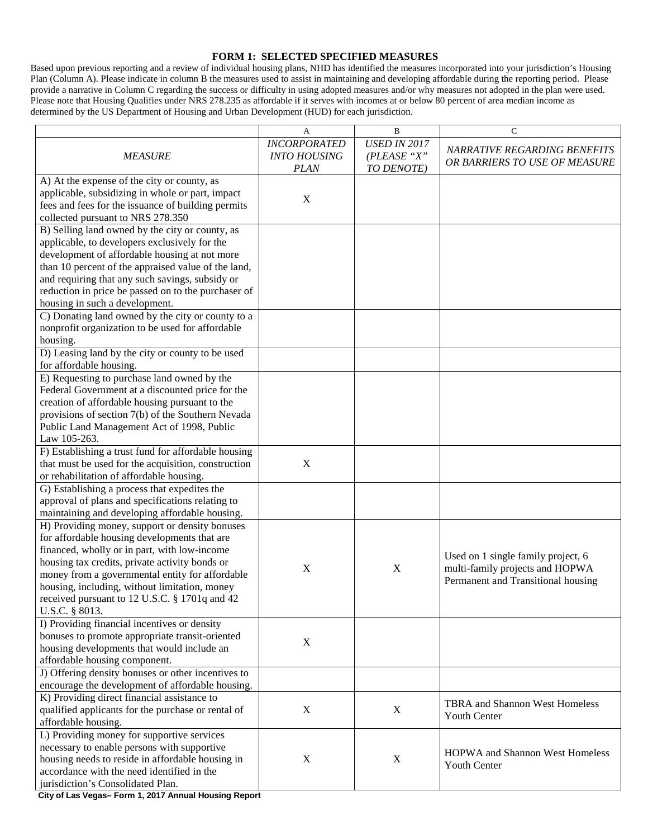Based upon previous reporting and a review of individual housing plans, NHD has identified the measures incorporated into your jurisdiction's Housing Plan (Column A). Please indicate in column B the measures used to assist in maintaining and developing affordable during the reporting period. Please provide a narrative in Column C regarding the success or difficulty in using adopted measures and/or why measures not adopted in the plan were used. Please note that Housing Qualifies under NRS 278.235 as affordable if it serves with incomes at or below 80 percent of area median income as determined by the US Department of Housing and Urban Development (HUD) for each jurisdiction.

|                                                     | A                   | $\, {\bf B}$        | $\mathsf{C}$                           |
|-----------------------------------------------------|---------------------|---------------------|----------------------------------------|
|                                                     | <b>INCORPORATED</b> | <b>USED IN 2017</b> | NARRATIVE REGARDING BENEFITS           |
| <b>MEASURE</b>                                      | <b>INTO HOUSING</b> | (PLEASE "X"         | OR BARRIERS TO USE OF MEASURE          |
|                                                     | <b>PLAN</b>         | TO DENOTE)          |                                        |
| A) At the expense of the city or county, as         |                     |                     |                                        |
| applicable, subsidizing in whole or part, impact    |                     |                     |                                        |
| fees and fees for the issuance of building permits  | $\mathbf X$         |                     |                                        |
| collected pursuant to NRS 278.350                   |                     |                     |                                        |
| B) Selling land owned by the city or county, as     |                     |                     |                                        |
| applicable, to developers exclusively for the       |                     |                     |                                        |
| development of affordable housing at not more       |                     |                     |                                        |
| than 10 percent of the appraised value of the land, |                     |                     |                                        |
| and requiring that any such savings, subsidy or     |                     |                     |                                        |
| reduction in price be passed on to the purchaser of |                     |                     |                                        |
| housing in such a development.                      |                     |                     |                                        |
| C) Donating land owned by the city or county to a   |                     |                     |                                        |
| nonprofit organization to be used for affordable    |                     |                     |                                        |
| housing.                                            |                     |                     |                                        |
| D) Leasing land by the city or county to be used    |                     |                     |                                        |
| for affordable housing.                             |                     |                     |                                        |
| E) Requesting to purchase land owned by the         |                     |                     |                                        |
| Federal Government at a discounted price for the    |                     |                     |                                        |
| creation of affordable housing pursuant to the      |                     |                     |                                        |
| provisions of section 7(b) of the Southern Nevada   |                     |                     |                                        |
| Public Land Management Act of 1998, Public          |                     |                     |                                        |
| Law 105-263.                                        |                     |                     |                                        |
| F) Establishing a trust fund for affordable housing |                     |                     |                                        |
| that must be used for the acquisition, construction | $\mathbf X$         |                     |                                        |
| or rehabilitation of affordable housing.            |                     |                     |                                        |
| G) Establishing a process that expedites the        |                     |                     |                                        |
| approval of plans and specifications relating to    |                     |                     |                                        |
| maintaining and developing affordable housing.      |                     |                     |                                        |
| H) Providing money, support or density bonuses      |                     |                     |                                        |
| for affordable housing developments that are        |                     |                     |                                        |
| financed, wholly or in part, with low-income        |                     |                     |                                        |
| housing tax credits, private activity bonds or      |                     |                     | Used on 1 single family project, 6     |
| money from a governmental entity for affordable     | X                   | $\mathbf X$         | multi-family projects and HOPWA        |
| housing, including, without limitation, money       |                     |                     | Permanent and Transitional housing     |
| received pursuant to 12 U.S.C. § 1701q and 42       |                     |                     |                                        |
| U.S.C. § 8013.                                      |                     |                     |                                        |
| I) Providing financial incentives or density        |                     |                     |                                        |
| bonuses to promote appropriate transit-oriented     | $\mathbf X$         |                     |                                        |
| housing developments that would include an          |                     |                     |                                        |
| affordable housing component.                       |                     |                     |                                        |
| J) Offering density bonuses or other incentives to  |                     |                     |                                        |
| encourage the development of affordable housing.    |                     |                     |                                        |
| K) Providing direct financial assistance to         |                     |                     | <b>TBRA</b> and Shannon West Homeless  |
| qualified applicants for the purchase or rental of  | $\mathbf X$         | X                   |                                        |
| affordable housing.                                 |                     |                     | <b>Youth Center</b>                    |
| L) Providing money for supportive services          |                     |                     |                                        |
| necessary to enable persons with supportive         |                     |                     | <b>HOPWA</b> and Shannon West Homeless |
| housing needs to reside in affordable housing in    | $\mathbf X$         | $\mathbf X$         |                                        |
| accordance with the need identified in the          |                     |                     | <b>Youth Center</b>                    |
| jurisdiction's Consolidated Plan.                   |                     |                     |                                        |

**City of Las Vegas– Form 1, 2017 Annual Housing Report**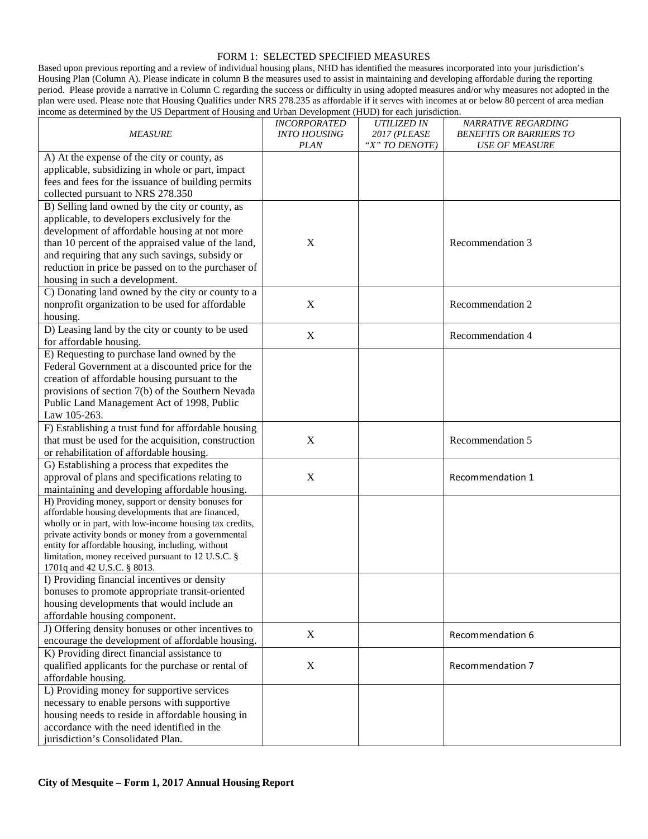|                                                         | <b>INCORPORATED</b> | <b>UTILIZED IN</b>  | <b>NARRATIVE REGARDING</b>     |
|---------------------------------------------------------|---------------------|---------------------|--------------------------------|
| <i><b>MEASURE</b></i>                                   | <b>INTO HOUSING</b> | <b>2017 (PLEASE</b> | <b>BENEFITS OR BARRIERS TO</b> |
|                                                         | <b>PLAN</b>         | "X" TO DENOTE)      | <b>USE OF MEASURE</b>          |
| A) At the expense of the city or county, as             |                     |                     |                                |
| applicable, subsidizing in whole or part, impact        |                     |                     |                                |
| fees and fees for the issuance of building permits      |                     |                     |                                |
| collected pursuant to NRS 278.350                       |                     |                     |                                |
| B) Selling land owned by the city or county, as         |                     |                     |                                |
| applicable, to developers exclusively for the           |                     |                     |                                |
| development of affordable housing at not more           |                     |                     |                                |
| than 10 percent of the appraised value of the land,     | X                   |                     | Recommendation 3               |
| and requiring that any such savings, subsidy or         |                     |                     |                                |
| reduction in price be passed on to the purchaser of     |                     |                     |                                |
| housing in such a development.                          |                     |                     |                                |
| C) Donating land owned by the city or county to a       |                     |                     |                                |
| nonprofit organization to be used for affordable        | $\mathbf X$         |                     | Recommendation 2               |
| housing.                                                |                     |                     |                                |
| D) Leasing land by the city or county to be used        |                     |                     |                                |
| for affordable housing.                                 | $\boldsymbol{X}$    |                     | Recommendation 4               |
| E) Requesting to purchase land owned by the             |                     |                     |                                |
| Federal Government at a discounted price for the        |                     |                     |                                |
| creation of affordable housing pursuant to the          |                     |                     |                                |
| provisions of section 7(b) of the Southern Nevada       |                     |                     |                                |
| Public Land Management Act of 1998, Public              |                     |                     |                                |
| Law 105-263.                                            |                     |                     |                                |
| F) Establishing a trust fund for affordable housing     |                     |                     |                                |
| that must be used for the acquisition, construction     | $\mathbf X$         |                     | Recommendation 5               |
| or rehabilitation of affordable housing.                |                     |                     |                                |
| G) Establishing a process that expedites the            |                     |                     |                                |
| approval of plans and specifications relating to        | $\mathbf X$         |                     | Recommendation 1               |
| maintaining and developing affordable housing.          |                     |                     |                                |
| H) Providing money, support or density bonuses for      |                     |                     |                                |
| affordable housing developments that are financed,      |                     |                     |                                |
| wholly or in part, with low-income housing tax credits, |                     |                     |                                |
| private activity bonds or money from a governmental     |                     |                     |                                |
| entity for affordable housing, including, without       |                     |                     |                                |
| limitation, money received pursuant to 12 U.S.C. §      |                     |                     |                                |
| 1701q and 42 U.S.C. § 8013.                             |                     |                     |                                |
| I) Providing financial incentives or density            |                     |                     |                                |
| bonuses to promote appropriate transit-oriented         |                     |                     |                                |
| housing developments that would include an              |                     |                     |                                |
| affordable housing component.                           |                     |                     |                                |
| J) Offering density bonuses or other incentives to      | X                   |                     |                                |
| encourage the development of affordable housing.        |                     |                     | Recommendation 6               |
| K) Providing direct financial assistance to             |                     |                     |                                |
| qualified applicants for the purchase or rental of      | $\mathbf X$         |                     | <b>Recommendation 7</b>        |
| affordable housing.                                     |                     |                     |                                |
| L) Providing money for supportive services              |                     |                     |                                |
| necessary to enable persons with supportive             |                     |                     |                                |
| housing needs to reside in affordable housing in        |                     |                     |                                |
| accordance with the need identified in the              |                     |                     |                                |
| jurisdiction's Consolidated Plan.                       |                     |                     |                                |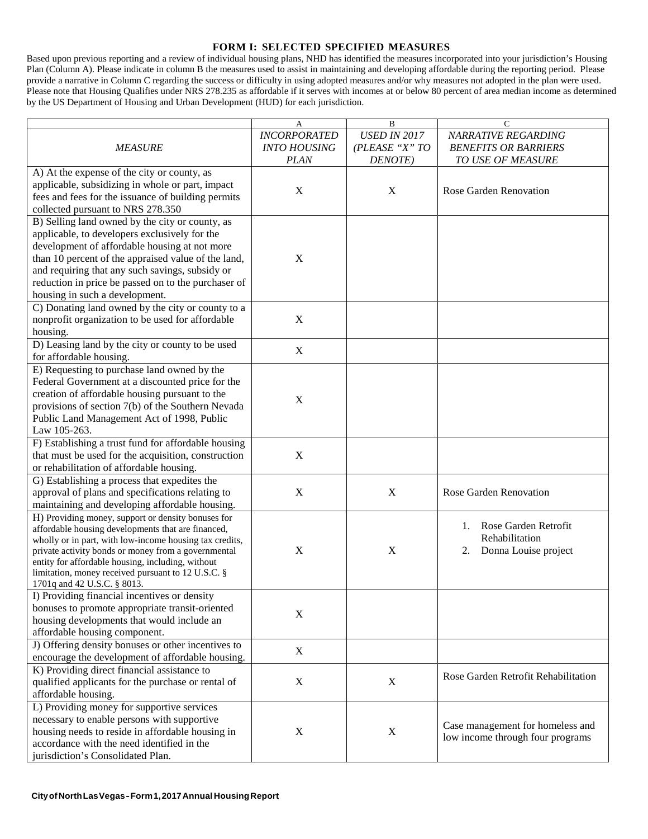|                                                                                                          | A                   | B                         | C                                   |
|----------------------------------------------------------------------------------------------------------|---------------------|---------------------------|-------------------------------------|
|                                                                                                          | <b>INCORPORATED</b> | <b>USED IN 2017</b>       | <b>NARRATIVE REGARDING</b>          |
| <b>MEASURE</b>                                                                                           | <b>INTO HOUSING</b> | (PLEASE "X" TO            | <b>BENEFITS OR BARRIERS</b>         |
|                                                                                                          | <b>PLAN</b>         | DENOTE)                   | TO USE OF MEASURE                   |
| A) At the expense of the city or county, as                                                              |                     |                           |                                     |
| applicable, subsidizing in whole or part, impact                                                         |                     |                           |                                     |
| fees and fees for the issuance of building permits                                                       | $\mathbf X$         | X                         | Rose Garden Renovation              |
| collected pursuant to NRS 278.350                                                                        |                     |                           |                                     |
|                                                                                                          |                     |                           |                                     |
| B) Selling land owned by the city or county, as                                                          |                     |                           |                                     |
| applicable, to developers exclusively for the                                                            |                     |                           |                                     |
| development of affordable housing at not more                                                            |                     |                           |                                     |
| than 10 percent of the appraised value of the land,                                                      | $\boldsymbol{X}$    |                           |                                     |
| and requiring that any such savings, subsidy or                                                          |                     |                           |                                     |
| reduction in price be passed on to the purchaser of                                                      |                     |                           |                                     |
| housing in such a development.                                                                           |                     |                           |                                     |
| C) Donating land owned by the city or county to a                                                        |                     |                           |                                     |
| nonprofit organization to be used for affordable                                                         | $\mathbf X$         |                           |                                     |
| housing.                                                                                                 |                     |                           |                                     |
| D) Leasing land by the city or county to be used                                                         |                     |                           |                                     |
| for affordable housing.                                                                                  | $\mathbf X$         |                           |                                     |
| E) Requesting to purchase land owned by the                                                              |                     |                           |                                     |
| Federal Government at a discounted price for the                                                         |                     |                           |                                     |
| creation of affordable housing pursuant to the                                                           |                     |                           |                                     |
| provisions of section 7(b) of the Southern Nevada                                                        | X                   |                           |                                     |
| Public Land Management Act of 1998, Public                                                               |                     |                           |                                     |
| Law 105-263.                                                                                             |                     |                           |                                     |
| F) Establishing a trust fund for affordable housing                                                      |                     |                           |                                     |
|                                                                                                          | $\mathbf X$         |                           |                                     |
| that must be used for the acquisition, construction                                                      |                     |                           |                                     |
| or rehabilitation of affordable housing.                                                                 |                     |                           |                                     |
| G) Establishing a process that expedites the                                                             |                     |                           |                                     |
| approval of plans and specifications relating to                                                         | $\mathbf X$         | X                         | Rose Garden Renovation              |
| maintaining and developing affordable housing.                                                           |                     |                           |                                     |
| H) Providing money, support or density bonuses for                                                       |                     |                           | Rose Garden Retrofit<br>1.          |
| affordable housing developments that are financed,                                                       |                     |                           | Rehabilitation                      |
| wholly or in part, with low-income housing tax credits,                                                  | $\boldsymbol{X}$    | $\boldsymbol{\mathrm{X}}$ |                                     |
| private activity bonds or money from a governmental<br>entity for affordable housing, including, without |                     |                           | Donna Louise project<br>2.          |
| limitation, money received pursuant to 12 U.S.C. §                                                       |                     |                           |                                     |
| 1701q and 42 U.S.C. § 8013.                                                                              |                     |                           |                                     |
| I) Providing financial incentives or density                                                             |                     |                           |                                     |
| bonuses to promote appropriate transit-oriented                                                          |                     |                           |                                     |
| housing developments that would include an                                                               | $\mathbf X$         |                           |                                     |
|                                                                                                          |                     |                           |                                     |
| affordable housing component.                                                                            |                     |                           |                                     |
| J) Offering density bonuses or other incentives to                                                       | X                   |                           |                                     |
| encourage the development of affordable housing.                                                         |                     |                           |                                     |
| K) Providing direct financial assistance to                                                              |                     |                           | Rose Garden Retrofit Rehabilitation |
| qualified applicants for the purchase or rental of                                                       | X                   | X                         |                                     |
| affordable housing.                                                                                      |                     |                           |                                     |
| L) Providing money for supportive services                                                               |                     |                           |                                     |
| necessary to enable persons with supportive                                                              |                     |                           | Case management for homeless and    |
| housing needs to reside in affordable housing in                                                         | X                   | X                         | low income through four programs    |
| accordance with the need identified in the                                                               |                     |                           |                                     |
| jurisdiction's Consolidated Plan.                                                                        |                     |                           |                                     |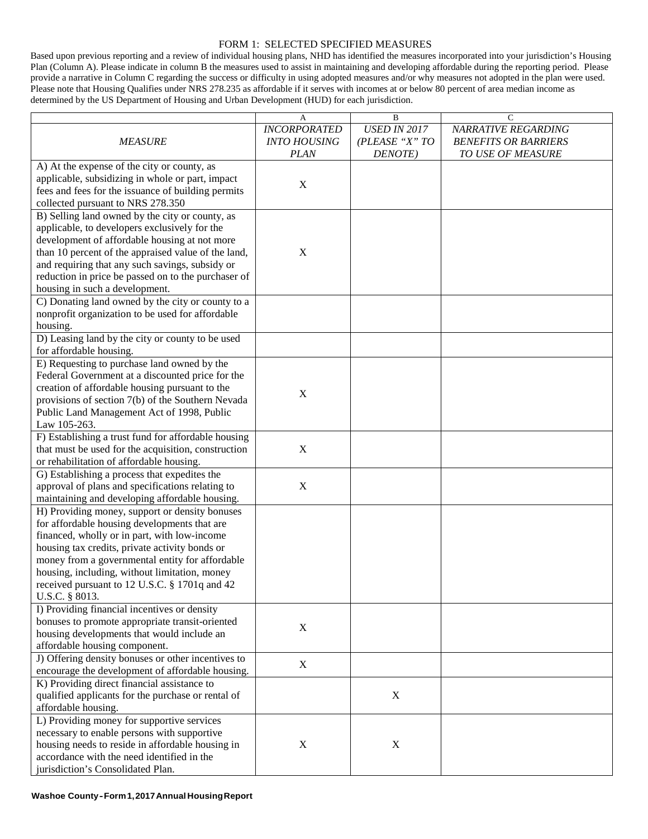|                                                     | A                   | $\, {\bf B}$        | $\mathsf{C}$                |
|-----------------------------------------------------|---------------------|---------------------|-----------------------------|
|                                                     | <b>INCORPORATED</b> | <b>USED IN 2017</b> | <b>NARRATIVE REGARDING</b>  |
| <b>MEASURE</b>                                      | <b>INTO HOUSING</b> | (PLEASE "X" TO      | <b>BENEFITS OR BARRIERS</b> |
|                                                     | <b>PLAN</b>         | DENOTE)             | TO USE OF MEASURE           |
| A) At the expense of the city or county, as         |                     |                     |                             |
| applicable, subsidizing in whole or part, impact    |                     |                     |                             |
|                                                     | X                   |                     |                             |
| fees and fees for the issuance of building permits  |                     |                     |                             |
| collected pursuant to NRS 278.350                   |                     |                     |                             |
| B) Selling land owned by the city or county, as     |                     |                     |                             |
| applicable, to developers exclusively for the       |                     |                     |                             |
| development of affordable housing at not more       |                     |                     |                             |
| than 10 percent of the appraised value of the land, | X                   |                     |                             |
| and requiring that any such savings, subsidy or     |                     |                     |                             |
| reduction in price be passed on to the purchaser of |                     |                     |                             |
| housing in such a development.                      |                     |                     |                             |
| C) Donating land owned by the city or county to a   |                     |                     |                             |
| nonprofit organization to be used for affordable    |                     |                     |                             |
| housing.                                            |                     |                     |                             |
| D) Leasing land by the city or county to be used    |                     |                     |                             |
| for affordable housing.                             |                     |                     |                             |
| E) Requesting to purchase land owned by the         |                     |                     |                             |
| Federal Government at a discounted price for the    |                     |                     |                             |
| creation of affordable housing pursuant to the      |                     |                     |                             |
| provisions of section 7(b) of the Southern Nevada   | X                   |                     |                             |
| Public Land Management Act of 1998, Public          |                     |                     |                             |
| Law 105-263.                                        |                     |                     |                             |
| F) Establishing a trust fund for affordable housing |                     |                     |                             |
| that must be used for the acquisition, construction | $\mathbf X$         |                     |                             |
| or rehabilitation of affordable housing.            |                     |                     |                             |
| G) Establishing a process that expedites the        |                     |                     |                             |
| approval of plans and specifications relating to    | $\mathbf X$         |                     |                             |
| maintaining and developing affordable housing.      |                     |                     |                             |
| H) Providing money, support or density bonuses      |                     |                     |                             |
| for affordable housing developments that are        |                     |                     |                             |
| financed, wholly or in part, with low-income        |                     |                     |                             |
| housing tax credits, private activity bonds or      |                     |                     |                             |
|                                                     |                     |                     |                             |
| money from a governmental entity for affordable     |                     |                     |                             |
| housing, including, without limitation, money       |                     |                     |                             |
| received pursuant to 12 U.S.C. § 1701q and 42       |                     |                     |                             |
| U.S.C. § 8013.                                      |                     |                     |                             |
| I) Providing financial incentives or density        |                     |                     |                             |
| bonuses to promote appropriate transit-oriented     | $\mathbf X$         |                     |                             |
| housing developments that would include an          |                     |                     |                             |
| affordable housing component.                       |                     |                     |                             |
| J) Offering density bonuses or other incentives to  | $\mathbf X$         |                     |                             |
| encourage the development of affordable housing.    |                     |                     |                             |
| K) Providing direct financial assistance to         |                     |                     |                             |
| qualified applicants for the purchase or rental of  |                     | $\mathbf X$         |                             |
| affordable housing.                                 |                     |                     |                             |
| L) Providing money for supportive services          |                     |                     |                             |
| necessary to enable persons with supportive         |                     |                     |                             |
| housing needs to reside in affordable housing in    | $\mathbf X$         | $\mathbf X$         |                             |
| accordance with the need identified in the          |                     |                     |                             |
| jurisdiction's Consolidated Plan.                   |                     |                     |                             |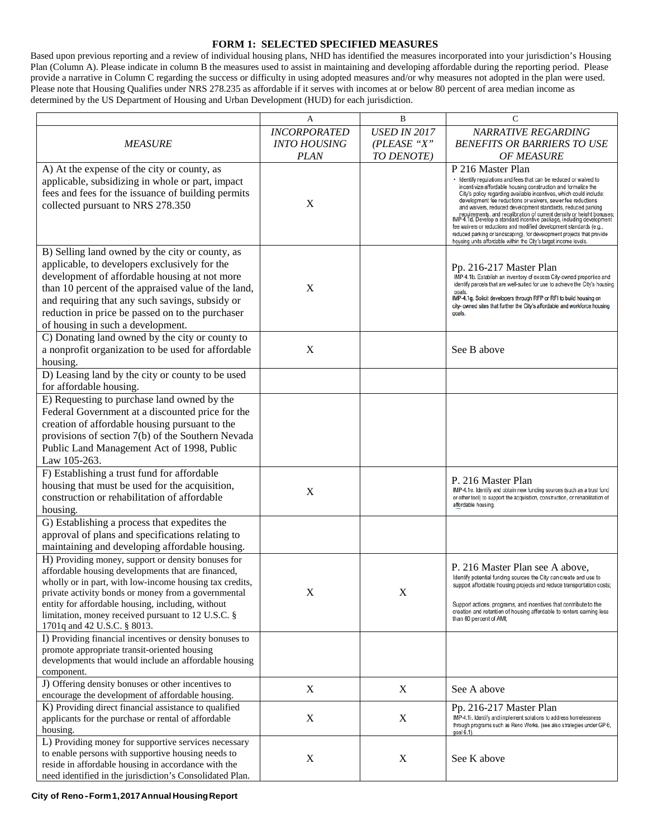|                                                                                                         | A                         | B                   | C                                                                                                                                                 |
|---------------------------------------------------------------------------------------------------------|---------------------------|---------------------|---------------------------------------------------------------------------------------------------------------------------------------------------|
|                                                                                                         | <b>INCORPORATED</b>       | <b>USED IN 2017</b> | NARRATIVE REGARDING                                                                                                                               |
| <b>MEASURE</b>                                                                                          | <b>INTO HOUSING</b>       | (PLEASE "X"         | <b>BENEFITS OR BARRIERS TO USE</b>                                                                                                                |
|                                                                                                         | <b>PLAN</b>               | TO DENOTE)          | <b>OF MEASURE</b>                                                                                                                                 |
| A) At the expense of the city or county, as                                                             |                           |                     | P 216 Master Plan                                                                                                                                 |
| applicable, subsidizing in whole or part, impact                                                        |                           |                     | • Identify regulations and fees that can be reduced or waived to                                                                                  |
| fees and fees for the issuance of building permits                                                      |                           |                     | incentivize affordable housing construction and formalize the<br>City's policy regarding available incentives, which could include:               |
| collected pursuant to NRS 278.350                                                                       | $\boldsymbol{\mathrm{X}}$ |                     | development fee reductions or waivers, sewer fee reductions<br>and waivers, reduced development standards, reduced parking                        |
|                                                                                                         |                           |                     | requirements, and recalibration of current density or height bonuses;<br>IMP-4.1d. Develop a standard incentive package, including development    |
|                                                                                                         |                           |                     | fee waivers or reductions and modified development standards (e.g.,                                                                               |
|                                                                                                         |                           |                     | reduced parking or landscaping), for development projects that provide<br>housing units affordable within the City's target income levels.        |
| B) Selling land owned by the city or county, as                                                         |                           |                     |                                                                                                                                                   |
| applicable, to developers exclusively for the                                                           |                           |                     | Pp. 216-217 Master Plan                                                                                                                           |
| development of affordable housing at not more                                                           |                           |                     | IMP-4.1b. Establish an inventory of excess City-owned properties and                                                                              |
| than 10 percent of the appraised value of the land,                                                     | X                         |                     | identify parcels that are well-suited for use to achieve the City's housing<br>goals.                                                             |
| and requiring that any such savings, subsidy or                                                         |                           |                     | IMP-4.1g. Solicit developers through RFP or RFI to build housing on<br>city- owned sites that further the City's affordable and workforce housing |
| reduction in price be passed on to the purchaser                                                        |                           |                     | goals.                                                                                                                                            |
| of housing in such a development.                                                                       |                           |                     |                                                                                                                                                   |
| C) Donating land owned by the city or county to                                                         |                           |                     |                                                                                                                                                   |
| a nonprofit organization to be used for affordable                                                      | $\mathbf X$               |                     | See B above                                                                                                                                       |
| housing.                                                                                                |                           |                     |                                                                                                                                                   |
| D) Leasing land by the city or county to be used                                                        |                           |                     |                                                                                                                                                   |
| for affordable housing.                                                                                 |                           |                     |                                                                                                                                                   |
| E) Requesting to purchase land owned by the                                                             |                           |                     |                                                                                                                                                   |
| Federal Government at a discounted price for the                                                        |                           |                     |                                                                                                                                                   |
| creation of affordable housing pursuant to the                                                          |                           |                     |                                                                                                                                                   |
| provisions of section 7(b) of the Southern Nevada                                                       |                           |                     |                                                                                                                                                   |
| Public Land Management Act of 1998, Public                                                              |                           |                     |                                                                                                                                                   |
| Law 105-263.                                                                                            |                           |                     |                                                                                                                                                   |
| F) Establishing a trust fund for affordable                                                             |                           |                     |                                                                                                                                                   |
| housing that must be used for the acquisition,                                                          | $\mathbf X$               |                     | P. 216 Master Plan<br>IMP-4.1e. Identify and obtain new funding sources (such as a trust fund                                                     |
| construction or rehabilitation of affordable                                                            |                           |                     | or other tool) to support the acquisition, construction, or rehabilitation of<br>affordable housing.                                              |
| housing.                                                                                                |                           |                     |                                                                                                                                                   |
| G) Establishing a process that expedites the                                                            |                           |                     |                                                                                                                                                   |
| approval of plans and specifications relating to                                                        |                           |                     |                                                                                                                                                   |
| maintaining and developing affordable housing.                                                          |                           |                     |                                                                                                                                                   |
| H) Providing money, support or density bonuses for                                                      |                           |                     |                                                                                                                                                   |
| affordable housing developments that are financed,                                                      |                           |                     | P. 216 Master Plan see A above,<br>Identify potential funding sources the City can create and use to                                              |
| wholly or in part, with low-income housing tax credits,                                                 |                           |                     | support affordable housing projects and reduce transportation costs;                                                                              |
| private activity bonds or money from a governmental                                                     | X                         | $\mathbf X$         |                                                                                                                                                   |
| entity for affordable housing, including, without<br>limitation, money received pursuant to 12 U.S.C. § |                           |                     | Support actions, programs, and incentives that contribute to the<br>creation and retention of housing affordable to renters earning less          |
| 1701q and 42 U.S.C. § 8013.                                                                             |                           |                     | than 60 percent of AMI;                                                                                                                           |
| I) Providing financial incentives or density bonuses to                                                 |                           |                     |                                                                                                                                                   |
| promote appropriate transit-oriented housing                                                            |                           |                     |                                                                                                                                                   |
| developments that would include an affordable housing                                                   |                           |                     |                                                                                                                                                   |
| component.                                                                                              |                           |                     |                                                                                                                                                   |
| J) Offering density bonuses or other incentives to                                                      | X                         | $\mathbf X$         | See A above                                                                                                                                       |
| encourage the development of affordable housing.                                                        |                           |                     |                                                                                                                                                   |
| K) Providing direct financial assistance to qualified                                                   |                           |                     | Pp. 216-217 Master Plan                                                                                                                           |
| applicants for the purchase or rental of affordable                                                     | $\mathbf X$               | $\mathbf X$         | IMP-4.1i. Identify and implement solutions to address homelessness<br>through programs such as Reno Works. (see also strategies under GP 6,       |
| housing.                                                                                                |                           |                     | goal 6.1).                                                                                                                                        |
| L) Providing money for supportive services necessary                                                    |                           |                     |                                                                                                                                                   |
| to enable persons with supportive housing needs to                                                      | $\mathbf X$               | $\mathbf X$         | See K above                                                                                                                                       |
| reside in affordable housing in accordance with the                                                     |                           |                     |                                                                                                                                                   |
| need identified in the jurisdiction's Consolidated Plan.                                                |                           |                     |                                                                                                                                                   |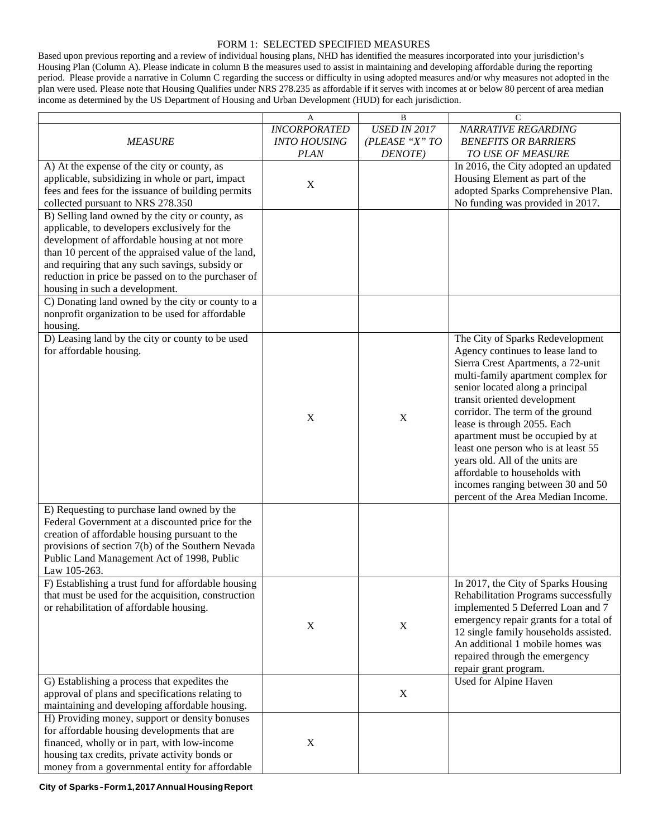Based upon previous reporting and a review of individual housing plans, NHD has identified the measures incorporated into your jurisdiction's Housing Plan (Column A). Please indicate in column B the measures used to assist in maintaining and developing affordable during the reporting period. Please provide a narrative in Column C regarding the success or difficulty in using adopted measures and/or why measures not adopted in the plan were used. Please note that Housing Qualifies under NRS 278.235 as affordable if it serves with incomes at or below 80 percent of area median income as determined by the US Department of Housing and Urban Development (HUD) for each jurisdiction.

|                                                     | А                   | B                   | $\mathsf{C}$                           |
|-----------------------------------------------------|---------------------|---------------------|----------------------------------------|
|                                                     | <b>INCORPORATED</b> | <b>USED IN 2017</b> | NARRATIVE REGARDING                    |
| <b>MEASURE</b>                                      | <b>INTO HOUSING</b> | (PLEASE "X" TO      | <b>BENEFITS OR BARRIERS</b>            |
|                                                     | <b>PLAN</b>         | DENOTE)             | TO USE OF MEASURE                      |
| A) At the expense of the city or county, as         |                     |                     | In 2016, the City adopted an updated   |
| applicable, subsidizing in whole or part, impact    |                     |                     | Housing Element as part of the         |
| fees and fees for the issuance of building permits  | $\mathbf X$         |                     | adopted Sparks Comprehensive Plan.     |
| collected pursuant to NRS 278.350                   |                     |                     | No funding was provided in 2017.       |
|                                                     |                     |                     |                                        |
| B) Selling land owned by the city or county, as     |                     |                     |                                        |
| applicable, to developers exclusively for the       |                     |                     |                                        |
| development of affordable housing at not more       |                     |                     |                                        |
| than 10 percent of the appraised value of the land, |                     |                     |                                        |
| and requiring that any such savings, subsidy or     |                     |                     |                                        |
| reduction in price be passed on to the purchaser of |                     |                     |                                        |
| housing in such a development.                      |                     |                     |                                        |
| C) Donating land owned by the city or county to a   |                     |                     |                                        |
| nonprofit organization to be used for affordable    |                     |                     |                                        |
| housing.                                            |                     |                     |                                        |
| D) Leasing land by the city or county to be used    |                     |                     | The City of Sparks Redevelopment       |
|                                                     |                     |                     |                                        |
| for affordable housing.                             |                     |                     | Agency continues to lease land to      |
|                                                     |                     |                     | Sierra Crest Apartments, a 72-unit     |
|                                                     |                     |                     | multi-family apartment complex for     |
|                                                     |                     |                     | senior located along a principal       |
|                                                     |                     |                     | transit oriented development           |
|                                                     |                     |                     | corridor. The term of the ground       |
|                                                     | X                   | $\mathbf X$         | lease is through 2055. Each            |
|                                                     |                     |                     | apartment must be occupied by at       |
|                                                     |                     |                     | least one person who is at least 55    |
|                                                     |                     |                     |                                        |
|                                                     |                     |                     | years old. All of the units are        |
|                                                     |                     |                     | affordable to households with          |
|                                                     |                     |                     | incomes ranging between 30 and 50      |
|                                                     |                     |                     | percent of the Area Median Income.     |
| E) Requesting to purchase land owned by the         |                     |                     |                                        |
| Federal Government at a discounted price for the    |                     |                     |                                        |
| creation of affordable housing pursuant to the      |                     |                     |                                        |
| provisions of section 7(b) of the Southern Nevada   |                     |                     |                                        |
| Public Land Management Act of 1998, Public          |                     |                     |                                        |
| Law 105-263.                                        |                     |                     |                                        |
| F) Establishing a trust fund for affordable housing |                     |                     | In 2017, the City of Sparks Housing    |
|                                                     |                     |                     |                                        |
| that must be used for the acquisition, construction |                     |                     | Rehabilitation Programs successfully   |
| or rehabilitation of affordable housing.            |                     |                     | implemented 5 Deferred Loan and 7      |
|                                                     | $\mathbf X$         | $\mathbf X$         | emergency repair grants for a total of |
|                                                     |                     |                     | 12 single family households assisted.  |
|                                                     |                     |                     | An additional 1 mobile homes was       |
|                                                     |                     |                     | repaired through the emergency         |
|                                                     |                     |                     | repair grant program.                  |
| G) Establishing a process that expedites the        |                     |                     | Used for Alpine Haven                  |
| approval of plans and specifications relating to    |                     | $\mathbf X$         |                                        |
| maintaining and developing affordable housing.      |                     |                     |                                        |
| H) Providing money, support or density bonuses      |                     |                     |                                        |
| for affordable housing developments that are        |                     |                     |                                        |
| financed, wholly or in part, with low-income        | $\mathbf X$         |                     |                                        |
|                                                     |                     |                     |                                        |
| housing tax credits, private activity bonds or      |                     |                     |                                        |
| money from a governmental entity for affordable     |                     |                     |                                        |

**City of Sparks - Form 1, 2017 Annual Housing Report**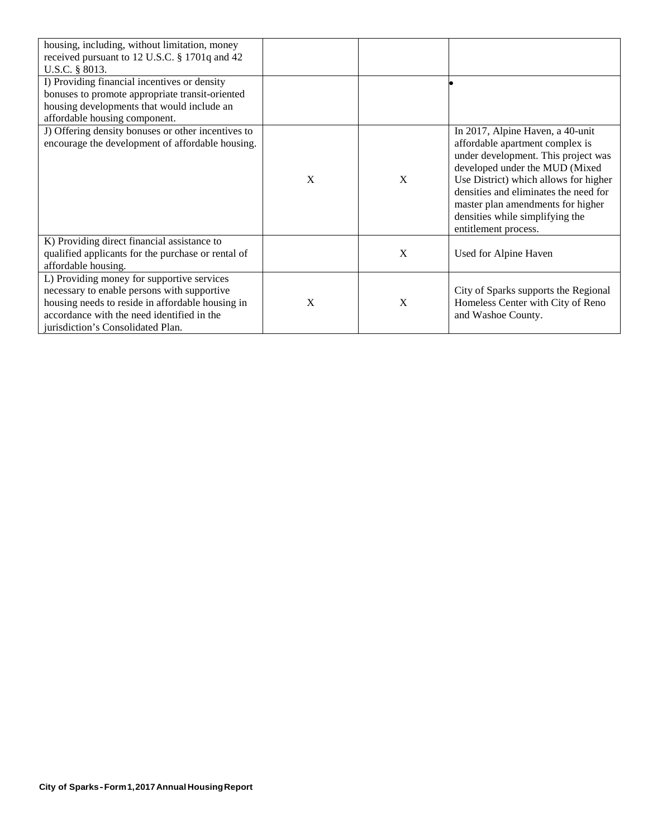| housing, including, without limitation, money<br>received pursuant to 12 U.S.C. § 1701q and 42<br>U.S.C. § 8013.<br>I) Providing financial incentives or density<br>bonuses to promote appropriate transit-oriented              |   |   |                                                                                                                                                                                                                                                                                                                                |
|----------------------------------------------------------------------------------------------------------------------------------------------------------------------------------------------------------------------------------|---|---|--------------------------------------------------------------------------------------------------------------------------------------------------------------------------------------------------------------------------------------------------------------------------------------------------------------------------------|
| housing developments that would include an<br>affordable housing component.                                                                                                                                                      |   |   |                                                                                                                                                                                                                                                                                                                                |
| J) Offering density bonuses or other incentives to<br>encourage the development of affordable housing.                                                                                                                           | X | X | In 2017, Alpine Haven, a 40-unit<br>affordable apartment complex is<br>under development. This project was<br>developed under the MUD (Mixed<br>Use District) which allows for higher<br>densities and eliminates the need for<br>master plan amendments for higher<br>densities while simplifying the<br>entitlement process. |
| K) Providing direct financial assistance to<br>qualified applicants for the purchase or rental of<br>affordable housing.                                                                                                         |   | X | Used for Alpine Haven                                                                                                                                                                                                                                                                                                          |
| L) Providing money for supportive services<br>necessary to enable persons with supportive<br>housing needs to reside in affordable housing in<br>accordance with the need identified in the<br>jurisdiction's Consolidated Plan. | X | X | City of Sparks supports the Regional<br>Homeless Center with City of Reno<br>and Washoe County.                                                                                                                                                                                                                                |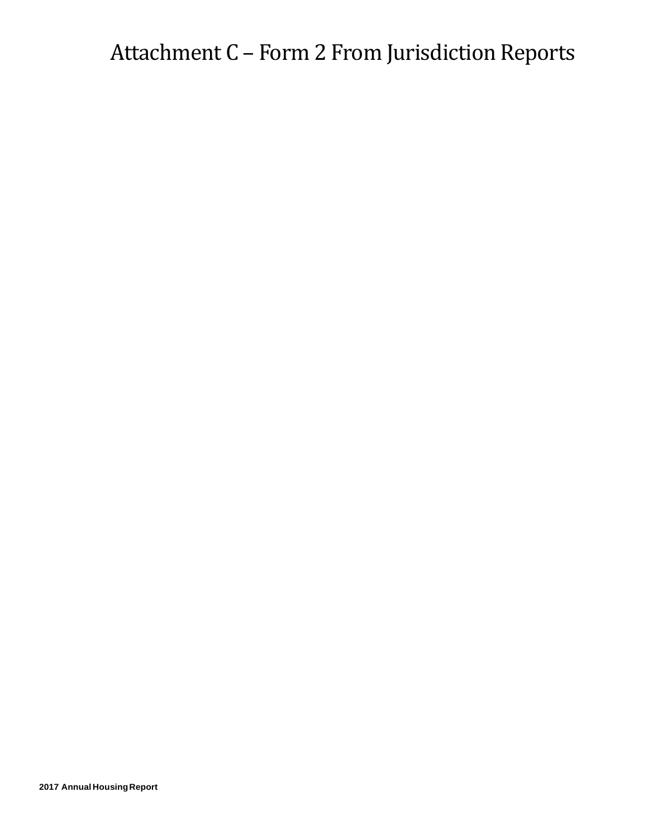# Attachment C – Form 2 From Jurisdiction Reports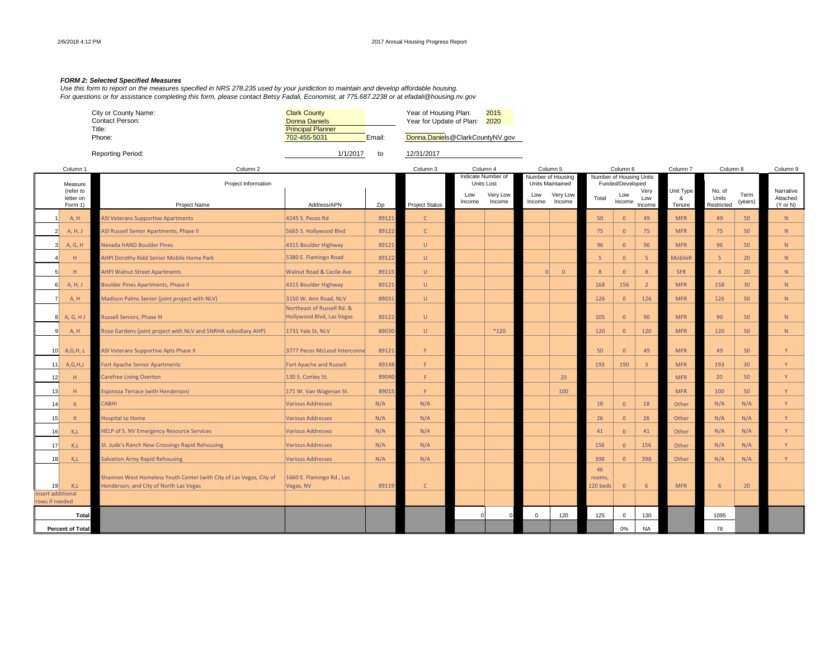Use this form to report on the measures specified in NRS 278.235 used by your juridiction to maintain and develop affordable housing.<br>For questions or for assistance completing this form, please contact Betsy Fadali, Econo

|                                     |                         | City or County Name:<br>Contact Person:<br>Title:                                                             | <b>Clark County</b><br><b>Donna Daniels</b><br><b>Principal Planner</b> |        | Year of Housing Plan:<br>Year for Update of Plan: 2020 |                    | 2015               |                  |                    |                          |                  |                |                |                 |                 |                       |
|-------------------------------------|-------------------------|---------------------------------------------------------------------------------------------------------------|-------------------------------------------------------------------------|--------|--------------------------------------------------------|--------------------|--------------------|------------------|--------------------|--------------------------|------------------|----------------|----------------|-----------------|-----------------|-----------------------|
|                                     |                         | Phone:                                                                                                        | 702-455-5031                                                            | Email: | Donna.Daniels@ClarkCountyNV.gov                        |                    |                    |                  |                    |                          |                  |                |                |                 |                 |                       |
|                                     |                         | Reporting Period:                                                                                             | 1/1/2017                                                                | to     | 12/31/2017                                             |                    |                    |                  |                    |                          |                  |                |                |                 |                 |                       |
|                                     | Column 1                | Column 2                                                                                                      |                                                                         |        | Column 3                                               |                    | Column 4           |                  | Column 5           |                          | Column 6         |                | Column 7       | Column 8        |                 | Column 9              |
|                                     | Measure                 | Project Information                                                                                           |                                                                         |        |                                                        | Indicate Number of | Units Lost         | Units Maintained | Number of Housing  | Number of Housing Units  | Funded/Developed |                |                |                 |                 |                       |
|                                     | (refer to<br>letter on  |                                                                                                               |                                                                         |        |                                                        | Low<br>Income      | Very Low<br>Income | Low<br>Income    | Very Low<br>Income | Total                    | Low<br>Income    | Very<br>Low    | Unit Type<br>& | No. of<br>Units | Term<br>(years) | Narrative<br>Attached |
|                                     | Form 1)                 | Project Name                                                                                                  | Address/APN                                                             | Zip    | <b>Project Status</b>                                  |                    |                    |                  |                    |                          |                  | Income         | Tenure         | Restricted      |                 | $(Y \text{ or } N)$   |
|                                     | A, H                    | <b>ASI Veterans Supportive Apartments</b>                                                                     | 4245 S. Pecos Rd                                                        | 89121  | $\mathsf{C}$                                           |                    |                    |                  |                    | 50                       | $\overline{0}$   | 49             | <b>MFR</b>     | 49              | 50              | N                     |
| $\overline{2}$                      | A, H, J                 | <b>ASI Russell Senior Apartments, Phase II</b>                                                                | 5665 S. Hollywood Blvd                                                  | 89122  | $\mathsf{C}$                                           |                    |                    |                  |                    | 75                       | $\overline{0}$   | 75             | <b>MFR</b>     | 75              | 50              | ${\sf N}$             |
| 3                                   | A, G, H                 | Nevada HAND Boulder Pines                                                                                     | 4315 Boulder Highway                                                    | 89121  | $\cup$                                                 |                    |                    |                  |                    | 96                       | $\overline{0}$   | 96             | <b>MFR</b>     | 96              | 50              | ${\sf N}$             |
|                                     | H                       | AHPI Dorothy Kidd Senior Mobile Home Park                                                                     | 5380 E. Flamingo Road                                                   | 89122  | $\cup$                                                 |                    |                    |                  |                    | $\overline{5}$           | $\overline{0}$   | 5 <sub>1</sub> | <b>MobileR</b> | 5 <sup>1</sup>  | 20              | N                     |
|                                     | H                       | <b>AHPI Walnut Street Apartments</b>                                                                          | <b>Walnut Road &amp; Cecile Ave</b>                                     | 89115  | $\cup$                                                 |                    |                    |                  | $\overline{0}$     | $\mathbf{8}$             | $\overline{0}$   | 8              | <b>SFR</b>     | 8               | 20 <sup>°</sup> | N                     |
| 6                                   | A, H, J                 | <b>Boulder Pines Apartments, Phase II</b>                                                                     | 4315 Boulder Highway                                                    | 89121  | $\cup$                                                 |                    |                    |                  |                    | 168                      | 156              | $\overline{2}$ | <b>MFR</b>     | 158             | 30 <sup>°</sup> | N                     |
| -71                                 | A, H                    | Madison Palms Senior (joint project with NLV)                                                                 | 3150 W. Ann Road, NLV                                                   | 89031  | $\cup$                                                 |                    |                    |                  |                    | 126                      | $\overline{0}$   | 126            | <b>MFR</b>     | 126             | 50              | N                     |
| 8                                   | A, G, HJ                | <b>Russell Seniors, Phase III</b>                                                                             | Northeast of Russell Rd. &<br>Hollywood Blvd, Las Vegas                 | 89122  | $\cup$                                                 |                    |                    |                  |                    | 105                      | $\overline{0}$   | 90             | <b>MFR</b>     | 90              | 50              | N.                    |
| 9                                   | A, H                    | Rose Gardens (joint project with NLV and SNRHA subsidiary AHP)                                                | 1731 Yale St, NLV                                                       | 89030  | $\cup$                                                 |                    | $*120$             |                  |                    | 120                      | $\overline{0}$   | 120            | <b>MFR</b>     | 120             | 50              | N                     |
| 10                                  | A, G, H, L              | <b>ASI Veterans Supportive Apts Phase II</b>                                                                  | 3777 Pecos McLeod Interconne                                            | 89121  | E                                                      |                    |                    |                  |                    | 50                       | $\overline{0}$   | 49             | <b>MFR</b>     | 49              | 50              | Y                     |
| 11                                  | A, G, H, J              | <b>Fort Apache Senior Apartments</b>                                                                          | <b>Fort Apache and Russell</b>                                          | 89148  | F.                                                     |                    |                    |                  |                    | 193                      | 190              | $\overline{3}$ | <b>MFR</b>     | 193             | 30 <sup>°</sup> | Y                     |
| 12                                  | H                       | <b>Carefree Living Overton</b>                                                                                | 130 S. Conley St.                                                       | 89040  |                                                        |                    |                    |                  | 20                 |                          |                  |                | <b>MFR</b>     | 20              | 50              | Y                     |
| 13                                  | Н.                      | <b>Espinoza Terrace (with Henderson)</b>                                                                      | 171 W. Van Wagenan St.                                                  | 89015  |                                                        |                    |                    |                  | 100                |                          |                  |                | <b>MFR</b>     | 100             | 50              | Y                     |
| 14                                  | K                       | <b>CABHI</b>                                                                                                  | <b>Various Addresses</b>                                                | N/A    | N/A                                                    |                    |                    |                  |                    | 18                       | $\overline{0}$   | 18             | Other          | N/A             | N/A             | Y                     |
| 15                                  | K                       | <b>Hospital to Home</b>                                                                                       | <b>Various Addresses</b>                                                | N/A    | N/A                                                    |                    |                    |                  |                    | 26                       | $\overline{0}$   | 26             | Other          | N/A             | N/A             | Y                     |
| 16                                  | K,L                     | <b>HELP of S. NV Emergency Resource Services</b>                                                              | <b>Various Addresses</b>                                                | N/A    | N/A                                                    |                    |                    |                  |                    | 41                       | $\overline{0}$   | 41             | Other          | N/A             | N/A             | Y                     |
| 17                                  | K,L                     | St. Jude's Ranch New Crossings Rapid Rehousing                                                                | <b>Various Addresses</b>                                                | N/A    | N/A                                                    |                    |                    |                  |                    | 156                      | $\overline{0}$   | 156            | Other          | N/A             | N/A             | Y                     |
| 18                                  | K,L                     | <b>Salvation Army Rapid Rehousing</b>                                                                         | <b>Various Addresses</b>                                                | N/A    | N/A                                                    |                    |                    |                  |                    | 398                      | $\overline{0}$   | 398            | Other          | N/A             | N/A             | Y                     |
| 19                                  | K.L                     | Shannon West Homeless Youth Center (with City of Las Vegas, City of<br>Henderson, and City of North Las Vegas | 1660 E. Flamingo Rd., Las<br>Vegas, NV                                  | 89119  | $\mathsf{C}$                                           |                    |                    |                  |                    | 46<br>rooms,<br>120 beds | $\overline{0}$   | 6              | <b>MFR</b>     | 6               | 20              |                       |
| insert additional<br>rows if needed |                         |                                                                                                               |                                                                         |        |                                                        |                    |                    |                  |                    |                          |                  |                |                |                 |                 |                       |
|                                     | Total                   |                                                                                                               |                                                                         |        |                                                        |                    |                    | $\mathbf 0$      | 120                | 125                      | $\mathbf{0}$     | 130            |                | 1095            |                 |                       |
|                                     | <b>Percent of Total</b> |                                                                                                               |                                                                         |        |                                                        |                    |                    |                  |                    |                          | 0%               | <b>NA</b>      |                | 78              |                 |                       |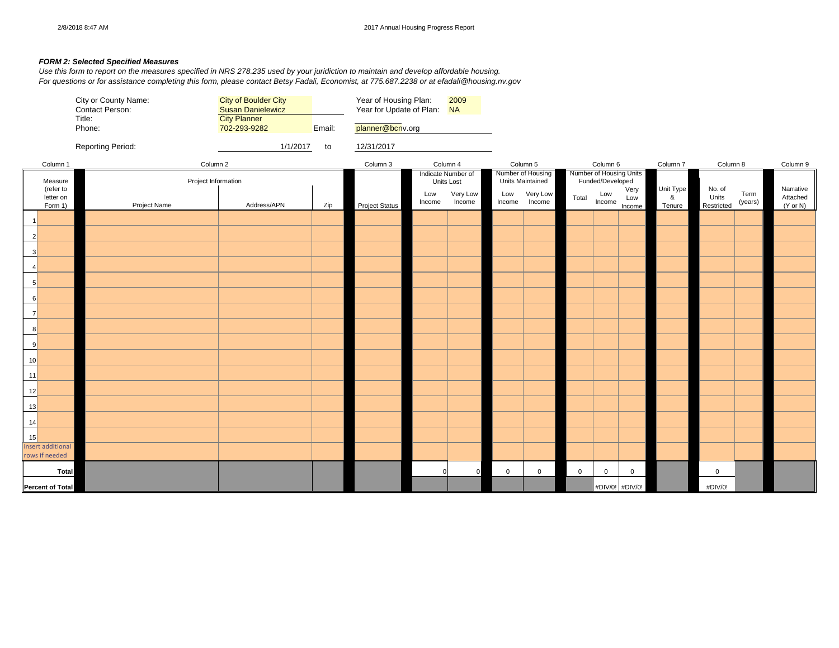|                                   | City or County Name:<br>Contact Person:<br>Title:<br>Phone: | <b>City of Boulder City</b><br><b>Susan Danielewicz</b><br><b>City Planner</b><br>702-293-9282 | Email: | Year of Housing Plan:<br>Year for Update of Plan: NA<br>planner@bcnv.org |               | 2009               |             |                               |             |                  |                         |                          |                               |                 |                                              |
|-----------------------------------|-------------------------------------------------------------|------------------------------------------------------------------------------------------------|--------|--------------------------------------------------------------------------|---------------|--------------------|-------------|-------------------------------|-------------|------------------|-------------------------|--------------------------|-------------------------------|-----------------|----------------------------------------------|
|                                   | Reporting Period:                                           | 1/1/2017                                                                                       | to     | 12/31/2017                                                               |               |                    |             |                               |             |                  |                         |                          |                               |                 |                                              |
| Column 1                          |                                                             | Column 2                                                                                       |        | Column 3                                                                 | Column 4      |                    |             | Column 5<br>Number of Housing |             | Column 6         | Number of Housing Units | Column <sub>7</sub>      | Column 8                      |                 | Column 9                                     |
| Measure                           |                                                             | Project Information                                                                            |        |                                                                          | Units Lost    | Indicate Number of |             | Units Maintained              |             | Funded/Developed |                         |                          |                               |                 |                                              |
| (refer to<br>letter on<br>Form 1) | Project Name                                                | Address/APN                                                                                    | Zip    | <b>Project Status</b>                                                    | Low<br>Income | Very Low<br>Income | Low         | Very Low<br>Income Income     | Total       | Low<br>Income    | Very<br>Low<br>Income   | Unit Type<br>&<br>Tenure | No. of<br>Units<br>Restricted | Term<br>(years) | Narrative<br>Attached<br>$(Y \text{ or } N)$ |
|                                   |                                                             |                                                                                                |        |                                                                          |               |                    |             |                               |             |                  |                         |                          |                               |                 |                                              |
| $\left  \right $                  |                                                             |                                                                                                |        |                                                                          |               |                    |             |                               |             |                  |                         |                          |                               |                 |                                              |
| $\lceil 3 \rceil$                 |                                                             |                                                                                                |        |                                                                          |               |                    |             |                               |             |                  |                         |                          |                               |                 |                                              |
| $\vert$                           |                                                             |                                                                                                |        |                                                                          |               |                    |             |                               |             |                  |                         |                          |                               |                 |                                              |
| 5                                 |                                                             |                                                                                                |        |                                                                          |               |                    |             |                               |             |                  |                         |                          |                               |                 |                                              |
| 6                                 |                                                             |                                                                                                |        |                                                                          |               |                    |             |                               |             |                  |                         |                          |                               |                 |                                              |
| $\overline{7}$                    |                                                             |                                                                                                |        |                                                                          |               |                    |             |                               |             |                  |                         |                          |                               |                 |                                              |
| 8                                 |                                                             |                                                                                                |        |                                                                          |               |                    |             |                               |             |                  |                         |                          |                               |                 |                                              |
| 9                                 |                                                             |                                                                                                |        |                                                                          |               |                    |             |                               |             |                  |                         |                          |                               |                 |                                              |
| 10                                |                                                             |                                                                                                |        |                                                                          |               |                    |             |                               |             |                  |                         |                          |                               |                 |                                              |
|                                   |                                                             |                                                                                                |        |                                                                          |               |                    |             |                               |             |                  |                         |                          |                               |                 |                                              |
| 11<br>12                          |                                                             |                                                                                                |        |                                                                          |               |                    |             |                               |             |                  |                         |                          |                               |                 |                                              |
|                                   |                                                             |                                                                                                |        |                                                                          |               |                    |             |                               |             |                  |                         |                          |                               |                 |                                              |
| 13                                |                                                             |                                                                                                |        |                                                                          |               |                    |             |                               |             |                  |                         |                          |                               |                 |                                              |
| 14                                |                                                             |                                                                                                |        |                                                                          |               |                    |             |                               |             |                  |                         |                          |                               |                 |                                              |
| 15<br>insert additional           |                                                             |                                                                                                |        |                                                                          |               |                    |             |                               |             |                  |                         |                          |                               |                 |                                              |
| rows if needed                    |                                                             |                                                                                                |        |                                                                          |               |                    |             |                               |             |                  |                         |                          |                               |                 |                                              |
| Total                             |                                                             |                                                                                                |        |                                                                          | $\Omega$      | $\overline{O}$     | $\mathbf 0$ | $\mathbf 0$                   | $\mathbf 0$ | $\mathbf 0$      | $\mathbf 0$             |                          | $\mathsf 0$                   |                 |                                              |
| <b>Percent of Total</b>           |                                                             |                                                                                                |        |                                                                          |               |                    |             |                               |             |                  | #DIV/0! #DIV/0!         |                          | #DIV/0!                       |                 |                                              |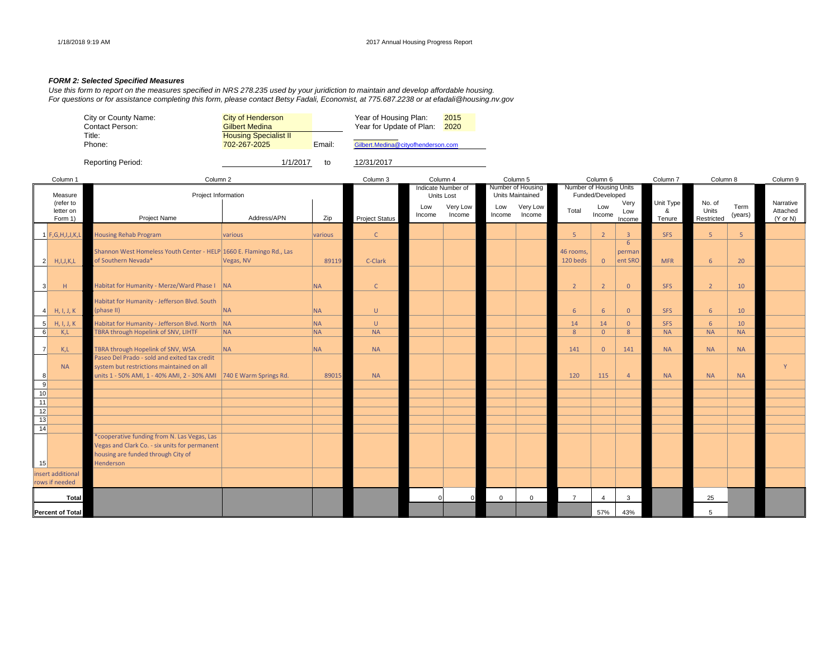|                                  |                                     | City or County Name:<br><b>City of Henderson</b><br>Contact Person:<br><b>Gilbert Medina</b><br>Title:<br><b>Housing Specialist II</b><br>702-267-2025<br>Email:<br>Phone: |                        |                 | Year of Housing Plan:<br>Year for Update of Plan:<br>Gilbert.Medina@cityofhenderson.com |                                  | 2015<br>2020       |               |                                       |                         |                      |                        |                          |                               |                 |                                   |
|----------------------------------|-------------------------------------|----------------------------------------------------------------------------------------------------------------------------------------------------------------------------|------------------------|-----------------|-----------------------------------------------------------------------------------------|----------------------------------|--------------------|---------------|---------------------------------------|-------------------------|----------------------|------------------------|--------------------------|-------------------------------|-----------------|-----------------------------------|
|                                  |                                     | <b>Reporting Period:</b>                                                                                                                                                   | 1/1/2017               | to              | 12/31/2017                                                                              |                                  |                    |               |                                       |                         |                      |                        |                          |                               |                 |                                   |
|                                  | Column 1                            | Column 2                                                                                                                                                                   |                        |                 | Column 3                                                                                | Column 4                         |                    |               | Column 5                              |                         | Column 6             |                        | Column 7                 | Column 8                      |                 | Column 9                          |
|                                  | Measure                             | Project Information                                                                                                                                                        |                        |                 |                                                                                         | Indicate Number of<br>Units Lost |                    |               | Number of Housing<br>Units Maintained | Number of Housing Units | Funded/Developed     |                        |                          |                               |                 |                                   |
|                                  | (refer to<br>letter on<br>Form 1)   | Project Name                                                                                                                                                               | Address/APN            | Zip             | <b>Project Status</b>                                                                   | Low<br>Income                    | Very Low<br>Income | Low<br>Income | Very Low<br>Income                    | Total                   | Low<br>Income        | Very<br>Low<br>Income  | Unit Type<br>&<br>Tenure | No. of<br>Units<br>Restricted | Term<br>(years) | Narrative<br>Attached<br>(Y or N) |
|                                  | $1$ F,G,H,I,J,K,L                   | <b>Housing Rehab Program</b>                                                                                                                                               | various                | various         | $\mathsf{C}$                                                                            |                                  |                    |               |                                       | 5 <sup>5</sup>          | $2^{\circ}$          | $\overline{3}$         | <b>SFS</b>               | 5 <sup>1</sup>                | 5               |                                   |
| 2 <sup>1</sup>                   | H, I, J, K, L                       | Shannon West Homeless Youth Center - HELP 1660 E. Flamingo Rd., Las<br>of Southern Nevada*                                                                                 | Vegas, NV              | 89119           | C-Clark                                                                                 |                                  |                    |               |                                       | 46 rooms.<br>120 beds   | $\overline{0}$       | 6<br>perman<br>ent SRO | <b>MFR</b>               | 6                             | 20              |                                   |
| 3                                | H                                   | Habitat for Humanity - Merze/Ward Phase I NA                                                                                                                               |                        | <b>NA</b>       | $\mathsf{C}$                                                                            |                                  |                    |               |                                       | $\overline{2}$          | $\overline{2}$       | $\overline{0}$         | <b>SFS</b>               | $\overline{2}$                | 10              |                                   |
|                                  | H, I, J, K                          | Habitat for Humanity - Jefferson Blvd. South<br>(phase II)                                                                                                                 | <b>NA</b>              | <b>NA</b>       | U.                                                                                      |                                  |                    |               |                                       | $6\overline{6}$         | 6                    | $\overline{0}$         | <b>SFS</b>               | 6                             | 10              |                                   |
| 5 <sup>1</sup><br>6 <sup>1</sup> | H, I, J, K<br>K,L                   | Habitat for Humanity - Jefferson Blvd. North   NA<br>TBRA through Hopelink of SNV, LIHTF                                                                                   | NA                     | <b>NA</b><br>NA | $\cup$<br><b>NA</b>                                                                     |                                  |                    |               |                                       | 14<br>$\overline{8}$    | 14<br>$\overline{0}$ | $\overline{0}$<br>8    | <b>SFS</b><br><b>NA</b>  | 6<br><b>NA</b>                | 10<br><b>NA</b> |                                   |
| $\overline{7}$                   | K,L                                 | TBRA through Hopelink of SNV, WSA                                                                                                                                          | NA                     | <b>NA</b>       | <b>NA</b>                                                                               |                                  |                    |               |                                       | 141                     | $\overline{0}$       | 141                    | <b>NA</b>                | <b>NA</b>                     | <b>NA</b>       |                                   |
| 8 <sup>1</sup>                   | <b>NA</b>                           | Paseo Del Prado - sold and exited tax credit<br>system but restrictions maintained on all<br>units 1 - 50% AMI, 1 - 40% AMI, 2 - 30% AMI                                   | 740 E Warm Springs Rd. | 89015           | <b>NA</b>                                                                               |                                  |                    |               |                                       | 120                     | 115                  | $\overline{4}$         | <b>NA</b>                | <b>NA</b>                     | <b>NA</b>       |                                   |
| -9                               |                                     |                                                                                                                                                                            |                        |                 |                                                                                         |                                  |                    |               |                                       |                         |                      |                        |                          |                               |                 |                                   |
| 10                               |                                     |                                                                                                                                                                            |                        |                 |                                                                                         |                                  |                    |               |                                       |                         |                      |                        |                          |                               |                 |                                   |
| 11<br>12                         |                                     |                                                                                                                                                                            |                        |                 |                                                                                         |                                  |                    |               |                                       |                         |                      |                        |                          |                               |                 |                                   |
| 13                               |                                     |                                                                                                                                                                            |                        |                 |                                                                                         |                                  |                    |               |                                       |                         |                      |                        |                          |                               |                 |                                   |
| 14                               |                                     |                                                                                                                                                                            |                        |                 |                                                                                         |                                  |                    |               |                                       |                         |                      |                        |                          |                               |                 |                                   |
|                                  |                                     | *cooperative funding from N. Las Vegas, Las<br>Vegas and Clark Co. - six units for permanent<br>housing are funded through City of                                         |                        |                 |                                                                                         |                                  |                    |               |                                       |                         |                      |                        |                          |                               |                 |                                   |
| 15                               |                                     | Henderson                                                                                                                                                                  |                        |                 |                                                                                         |                                  |                    |               |                                       |                         |                      |                        |                          |                               |                 |                                   |
|                                  | insert additional<br>rows if needed |                                                                                                                                                                            |                        |                 |                                                                                         |                                  |                    |               |                                       |                         |                      |                        |                          |                               |                 |                                   |
|                                  | <b>Total</b>                        |                                                                                                                                                                            |                        |                 |                                                                                         | $\mathbf 0$                      | $\Omega$           | $\mathbf 0$   | $\mathbf 0$                           | $\overline{7}$          | $\overline{4}$       | 3                      |                          | 25                            |                 |                                   |
|                                  | <b>Percent of Total</b>             |                                                                                                                                                                            |                        |                 |                                                                                         |                                  |                    |               |                                       |                         | 57%                  | 43%                    |                          | 5                             |                 |                                   |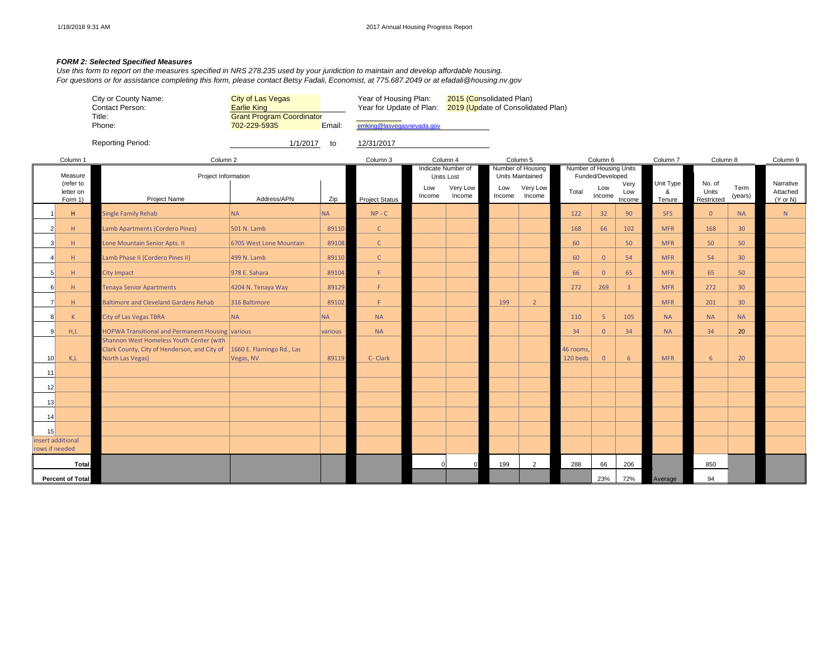| City or County Name:<br><b>City of Las Vegas</b><br>Contact Person:<br><b>Earlie King</b><br><b>Grant Program Coordinator</b><br>Title:<br>702-229-5935<br>Phone: |                         |                                                                                                                     |                                        | Email:    | Year of Housing Plan:<br>Year for Update of Plan: 2019 (Update of Consolidated Plan)<br>emking@lasvegasnevada.gov |                                  |          | 2015 (Consolidated Plan) |                                       |                         |                  |                |                     |                 |                 |                       |
|-------------------------------------------------------------------------------------------------------------------------------------------------------------------|-------------------------|---------------------------------------------------------------------------------------------------------------------|----------------------------------------|-----------|-------------------------------------------------------------------------------------------------------------------|----------------------------------|----------|--------------------------|---------------------------------------|-------------------------|------------------|----------------|---------------------|-----------------|-----------------|-----------------------|
|                                                                                                                                                                   |                         | <b>Reporting Period:</b>                                                                                            | 1/1/2017                               | to        | 12/31/2017                                                                                                        |                                  |          |                          |                                       |                         |                  |                |                     |                 |                 |                       |
|                                                                                                                                                                   | Column 1                | Column 2                                                                                                            |                                        |           | Column 3                                                                                                          | Column 4                         |          |                          | Column 5                              |                         | Column 6         |                | Column <sub>7</sub> | Column 8        |                 | Column 9              |
|                                                                                                                                                                   | Measure                 | Project Information                                                                                                 |                                        |           |                                                                                                                   | Indicate Number of<br>Units Lost |          |                          | Number of Housing<br>Units Maintained | Number of Housing Units | Funded/Developed |                |                     |                 |                 |                       |
|                                                                                                                                                                   | (refer to<br>letter on  |                                                                                                                     |                                        |           |                                                                                                                   | Low                              | Very Low | Low                      | Very Low                              | Total                   | Low              | Very<br>Low    | Unit Type<br>&      | No. of<br>Units | Term            | Narrative<br>Attached |
|                                                                                                                                                                   | Form 1)                 | Project Name                                                                                                        | Address/APN                            | Zip       | Project Status                                                                                                    | Income                           | Income   |                          | Income Income                         |                         | Income           | Income         | Tenure              | Restricted      | (years)         | $(Y \text{ or } N)$   |
|                                                                                                                                                                   | H                       | Single Family Rehab                                                                                                 | <b>NA</b>                              | <b>NA</b> | $NP - C$                                                                                                          |                                  |          |                          |                                       | 122                     | 32               | 90             | <b>SFS</b>          | $\overline{0}$  | <b>NA</b>       | N                     |
| $\overline{2}$                                                                                                                                                    | H                       | <b>Lamb Apartments (Cordero Pines)</b>                                                                              | 501 N. Lamb                            | 89110     | $\mathsf{C}$                                                                                                      |                                  |          |                          |                                       | 168                     | 66               | 102            | <b>MFR</b>          | 168             | 30 <sup>°</sup> |                       |
| 3                                                                                                                                                                 | H                       | Lone Mountain Senior Apts. II                                                                                       | 6705 West Lone Mountain                | 89108     | $\mathsf{C}$                                                                                                      |                                  |          |                          |                                       | 60                      |                  | 50             | <b>MFR</b>          | 50              | 50              |                       |
|                                                                                                                                                                   | H                       | Lamb Phase II (Cordero Pines II)                                                                                    | 499 N. Lamb                            | 89110     | $\mathsf{C}$                                                                                                      |                                  |          |                          |                                       | 60                      | $\overline{0}$   | 54             | <b>MFR</b>          | 54              | 30 <sup>°</sup> |                       |
| 5 <sup>5</sup>                                                                                                                                                    | H                       | <b>City Impact</b>                                                                                                  | 978 E. Sahara                          | 89104     | F                                                                                                                 |                                  |          |                          |                                       | 66                      | $\overline{0}$   | 65             | <b>MFR</b>          | 65              | 50              |                       |
| 6                                                                                                                                                                 | H                       | <b>Tenaya Senior Apartments</b>                                                                                     | 4204 N. Tenaya Way                     | 89129     | E                                                                                                                 |                                  |          |                          |                                       | 272                     | 269              | $\overline{3}$ | <b>MFR</b>          | 272             | 30              |                       |
| $\overline{7}$                                                                                                                                                    | H                       | <b>Baltimore and Cleveland Gardens Rehab</b>                                                                        | 316 Baltimore                          | 89102     | F                                                                                                                 |                                  |          | 199                      | $\overline{2}$                        |                         |                  |                | <b>MFR</b>          | 201             | 30              |                       |
| 8                                                                                                                                                                 | $\mathsf{K}$            | City of Las Vegas TBRA                                                                                              | <b>NA</b>                              | <b>NA</b> | <b>NA</b>                                                                                                         |                                  |          |                          |                                       | 110                     | 5 <sup>5</sup>   | 105            | <b>NA</b>           | <b>NA</b>       | <b>NA</b>       |                       |
| 9                                                                                                                                                                 | H,L                     | HOPWA Transitional and Permanent Housing various                                                                    |                                        | various   | <b>NA</b>                                                                                                         |                                  |          |                          |                                       | 34                      | $\overline{0}$   | 34             | <b>NA</b>           | 34              | 20              |                       |
| 10 <sup>1</sup>                                                                                                                                                   | K,L                     | Shannon West Homeless Youth Center (with<br>Clark County, City of Henderson, and City of<br><b>North Las Vegas)</b> | 1660 E. Flamingo Rd., Las<br>Vegas, NV | 89119     | C- Clark                                                                                                          |                                  |          |                          |                                       | 46 rooms.<br>120 beds   | $\overline{0}$   | 6              | <b>MFR</b>          | 6               | 20              |                       |
| 11                                                                                                                                                                |                         |                                                                                                                     |                                        |           |                                                                                                                   |                                  |          |                          |                                       |                         |                  |                |                     |                 |                 |                       |
| 12                                                                                                                                                                |                         |                                                                                                                     |                                        |           |                                                                                                                   |                                  |          |                          |                                       |                         |                  |                |                     |                 |                 |                       |
| 13                                                                                                                                                                |                         |                                                                                                                     |                                        |           |                                                                                                                   |                                  |          |                          |                                       |                         |                  |                |                     |                 |                 |                       |
| 14                                                                                                                                                                |                         |                                                                                                                     |                                        |           |                                                                                                                   |                                  |          |                          |                                       |                         |                  |                |                     |                 |                 |                       |
| 15                                                                                                                                                                |                         |                                                                                                                     |                                        |           |                                                                                                                   |                                  |          |                          |                                       |                         |                  |                |                     |                 |                 |                       |
| rows if needed                                                                                                                                                    | insert additional       |                                                                                                                     |                                        |           |                                                                                                                   |                                  |          |                          |                                       |                         |                  |                |                     |                 |                 |                       |
|                                                                                                                                                                   |                         |                                                                                                                     |                                        |           |                                                                                                                   | $\Omega$                         |          | 199                      | $\overline{2}$                        | 288                     | 66               | 206            |                     | 850             |                 |                       |
|                                                                                                                                                                   | Total                   |                                                                                                                     |                                        |           |                                                                                                                   |                                  |          |                          |                                       |                         |                  |                |                     |                 |                 |                       |
|                                                                                                                                                                   | <b>Percent of Total</b> |                                                                                                                     |                                        |           |                                                                                                                   |                                  |          |                          |                                       |                         | 23%              | 72%            | Average             | 94              |                 |                       |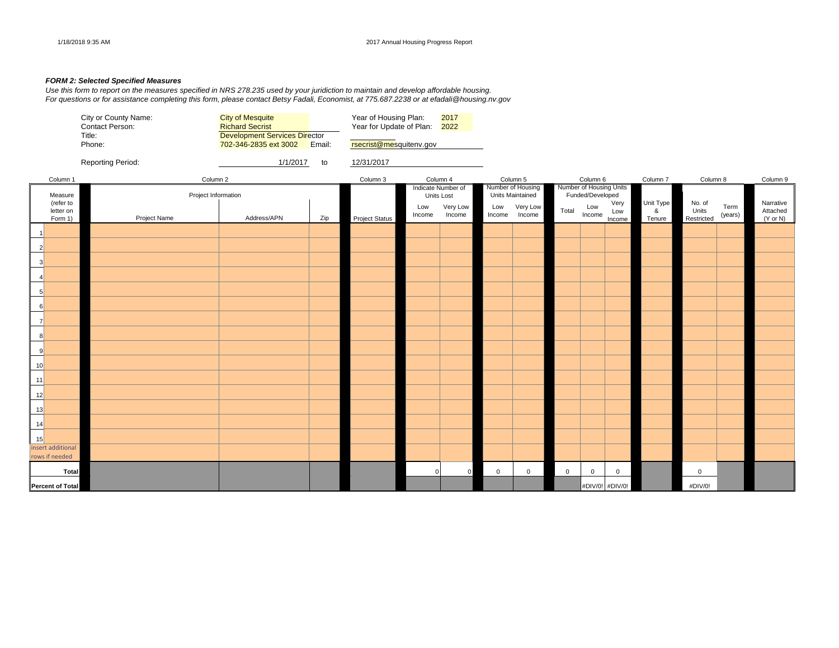|                |                                   | City or County Name:<br>Contact Person:<br>Title:<br>Phone: | <b>City of Mesquite</b><br><b>Richard Secrist</b><br><b>Development Services Director</b><br>702-346-2835 ext 3002 | Email: | Year of Housing Plan:<br>Year for Update of Plan: 2022<br>rsecrist@mesquitenv.gov |                                  | 2017               |               |                                       |             |                  |                         |                          |                               |                 |                                              |
|----------------|-----------------------------------|-------------------------------------------------------------|--------------------------------------------------------------------------------------------------------------------|--------|-----------------------------------------------------------------------------------|----------------------------------|--------------------|---------------|---------------------------------------|-------------|------------------|-------------------------|--------------------------|-------------------------------|-----------------|----------------------------------------------|
|                |                                   | Reporting Period:                                           | 1/1/2017                                                                                                           | to     | 12/31/2017                                                                        |                                  |                    |               |                                       |             |                  |                         |                          |                               |                 |                                              |
|                | Column 1                          | Column 2                                                    |                                                                                                                    |        | Column 3                                                                          | Column 4                         |                    |               | Column 5                              |             | Column 6         |                         | Column 7                 | Column 8                      |                 | Column 9                                     |
|                | Measure                           | Project Information                                         |                                                                                                                    |        |                                                                                   | Indicate Number of<br>Units Lost |                    |               | Number of Housing<br>Units Maintained |             | Funded/Developed | Number of Housing Units |                          |                               |                 |                                              |
|                | (refer to<br>letter on<br>Form 1) | Project Name                                                | Address/APN                                                                                                        | Zip    | Project Status                                                                    | Low<br>Income                    | Very Low<br>Income | Low<br>Income | Very Low<br>Income                    | Total       | Low<br>Income    | Very<br>Low<br>Income   | Unit Type<br>&<br>Tenure | No. of<br>Units<br>Restricted | Term<br>(years) | Narrative<br>Attached<br>$(Y \text{ or } N)$ |
|                |                                   |                                                             |                                                                                                                    |        |                                                                                   |                                  |                    |               |                                       |             |                  |                         |                          |                               |                 |                                              |
| 2              |                                   |                                                             |                                                                                                                    |        |                                                                                   |                                  |                    |               |                                       |             |                  |                         |                          |                               |                 |                                              |
| 3              |                                   |                                                             |                                                                                                                    |        |                                                                                   |                                  |                    |               |                                       |             |                  |                         |                          |                               |                 |                                              |
| 4              |                                   |                                                             |                                                                                                                    |        |                                                                                   |                                  |                    |               |                                       |             |                  |                         |                          |                               |                 |                                              |
| 5              |                                   |                                                             |                                                                                                                    |        |                                                                                   |                                  |                    |               |                                       |             |                  |                         |                          |                               |                 |                                              |
| 6              |                                   |                                                             |                                                                                                                    |        |                                                                                   |                                  |                    |               |                                       |             |                  |                         |                          |                               |                 |                                              |
| 7              |                                   |                                                             |                                                                                                                    |        |                                                                                   |                                  |                    |               |                                       |             |                  |                         |                          |                               |                 |                                              |
| 8 <sup>1</sup> |                                   |                                                             |                                                                                                                    |        |                                                                                   |                                  |                    |               |                                       |             |                  |                         |                          |                               |                 |                                              |
| 9              |                                   |                                                             |                                                                                                                    |        |                                                                                   |                                  |                    |               |                                       |             |                  |                         |                          |                               |                 |                                              |
| 10             |                                   |                                                             |                                                                                                                    |        |                                                                                   |                                  |                    |               |                                       |             |                  |                         |                          |                               |                 |                                              |
| 11             |                                   |                                                             |                                                                                                                    |        |                                                                                   |                                  |                    |               |                                       |             |                  |                         |                          |                               |                 |                                              |
| 12             |                                   |                                                             |                                                                                                                    |        |                                                                                   |                                  |                    |               |                                       |             |                  |                         |                          |                               |                 |                                              |
| 13             |                                   |                                                             |                                                                                                                    |        |                                                                                   |                                  |                    |               |                                       |             |                  |                         |                          |                               |                 |                                              |
| 14             |                                   |                                                             |                                                                                                                    |        |                                                                                   |                                  |                    |               |                                       |             |                  |                         |                          |                               |                 |                                              |
| 15             |                                   |                                                             |                                                                                                                    |        |                                                                                   |                                  |                    |               |                                       |             |                  |                         |                          |                               |                 |                                              |
|                | insert additional                 |                                                             |                                                                                                                    |        |                                                                                   |                                  |                    |               |                                       |             |                  |                         |                          |                               |                 |                                              |
|                | rows if needed                    |                                                             |                                                                                                                    |        |                                                                                   |                                  |                    |               |                                       |             |                  |                         |                          |                               |                 |                                              |
|                | <b>Total</b>                      |                                                             |                                                                                                                    |        |                                                                                   | $\Omega$                         | $\Omega$           | $\Omega$      | $\mathbf 0$                           | $\mathsf 0$ | $\mathbf 0$      | $\mathbf 0$             |                          | $\mathbf 0$                   |                 |                                              |
|                | <b>Percent of Total</b>           |                                                             |                                                                                                                    |        |                                                                                   |                                  |                    |               |                                       |             |                  | #DIV/0! #DIV/0!         |                          | #DIV/0!                       |                 |                                              |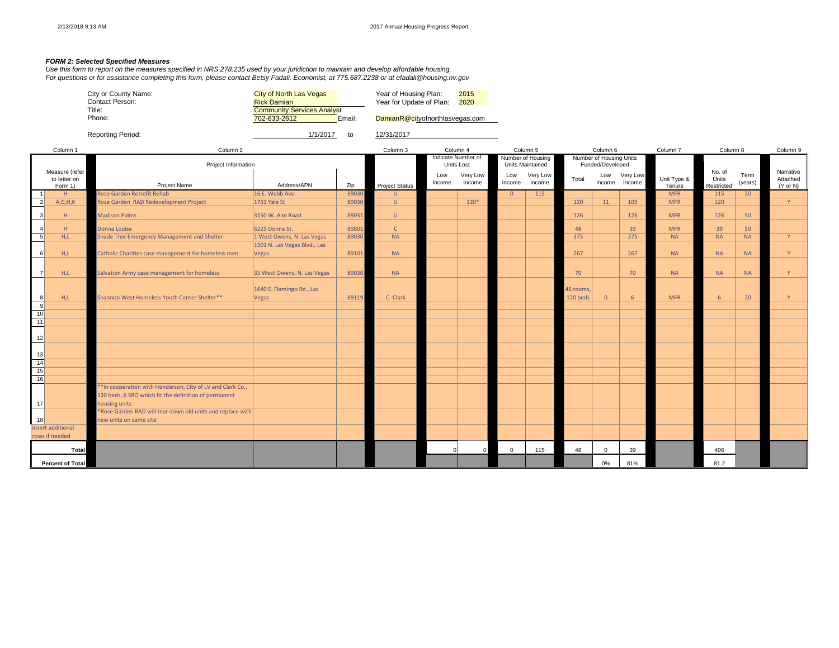Use this form to report on the measures specified in NRS 278.235 used by your juridiction to maintain and develop affordable housing.<br>For questions or for assistance completing this form, please contact Betsy Fadali, Econo

| City or County Name:<br>Contact Person: | <b>City of North Las Vegas</b><br><b>Rick Damian</b> |        | Year of Housing Plan:<br>Year for Update of Plan: | 2015<br>2020 |
|-----------------------------------------|------------------------------------------------------|--------|---------------------------------------------------|--------------|
| Title:                                  | <b>Community Services Analyst</b>                    |        |                                                   |              |
| Phone:                                  | 702-633-2612                                         | Email: | DamianR@cityofnorthlasvegas.com                   |              |
|                                         |                                                      |        |                                                   |              |

Reporting Period:

1/1/2017 to 12/31/2017

|                       | Column 1                                  | Column 2                                                                                                             |                                       |       | Column 3              | Column 4<br>Indicate Number of |                    |                | Column 5                                     |           | Column 6                                    |                    | Column 7              | Column 8                      |                 | Column 9                          |
|-----------------------|-------------------------------------------|----------------------------------------------------------------------------------------------------------------------|---------------------------------------|-------|-----------------------|--------------------------------|--------------------|----------------|----------------------------------------------|-----------|---------------------------------------------|--------------------|-----------------------|-------------------------------|-----------------|-----------------------------------|
|                       |                                           | Project Information                                                                                                  |                                       |       |                       |                                | Units Lost         |                | Number of Housing<br><b>Units Maintained</b> |           | Number of Housing Units<br>Funded/Developed |                    |                       |                               |                 |                                   |
|                       | Measure (refer<br>to letter on<br>Form 1) | Project Name                                                                                                         | Address/APN                           | Zip   | <b>Project Status</b> | Low<br>Income                  | Very Low<br>Income | Low<br>Income  | Very Low<br>Income                           | Total     | Low<br>Income                               | Very Low<br>Income | Unit Type &<br>Tenure | No. of<br>Units<br>Restricted | Term<br>(years) | Narrative<br>Attached<br>(Y or N) |
|                       | H                                         | Rose Garden Retrofit Rehab                                                                                           | 16 E. Webb Ave.                       | 89030 | U                     |                                |                    | $\overline{0}$ | 115                                          |           |                                             |                    | <b>MFR</b>            | 115                           | 30 <sup>°</sup> |                                   |
| $\overline{2}$        | A, G, H, K                                | Rose Garden RAD Redevelopment Project                                                                                | 1731 Yale St                          | 89030 | $\cup$                |                                | $120*$             |                |                                              | 120       | 11                                          | 109                | <b>MFR</b>            | 120                           |                 | Y                                 |
| 3                     | H                                         | <b>Madison Palms</b>                                                                                                 | 3150 W. Ann Road                      | 89031 | $\cup$                |                                |                    |                |                                              | 126       |                                             | 126                | <b>MFR</b>            | 126                           | 50              |                                   |
|                       | H                                         | Donna Louise                                                                                                         | 6225 Donna St.                        | 89801 | $\mathsf{C}$          |                                |                    |                |                                              | 48        |                                             | 39                 | <b>MFR</b>            | 39                            | 50              |                                   |
| 5                     | H.L                                       | Shade Tree Emergency Management and Shelter                                                                          | 1 West Owens, N. Las Vegas            | 89030 | <b>NA</b>             |                                |                    |                |                                              | 375       |                                             | 375                | <b>NA</b>             | <b>NA</b>                     | <b>NA</b>       | $\mathbf{v}$                      |
| 6                     | H,L                                       | Catholic Charities case management for homeless men                                                                  | 1501 N. Las Vegas Blvd., Las<br>Vegas | 89101 | <b>NA</b>             |                                |                    |                |                                              | 267       |                                             | 267                | <b>NA</b>             | <b>NA</b>                     | <b>NA</b>       |                                   |
| -71                   | H,L                                       | Salvation Army case management for homeless                                                                          | 35 West Owens, N. Las Vegas           | 89030 | <b>NA</b>             |                                |                    |                |                                              | 70        |                                             | 70                 | <b>NA</b>             | <b>NA</b>                     | <b>NA</b>       |                                   |
|                       |                                           |                                                                                                                      | 1640 E. Flamingo Rd., Las             |       |                       |                                |                    |                |                                              | 46 rooms, |                                             |                    |                       |                               |                 |                                   |
| 8                     | H,L                                       | Shannon West Homeless Youth Center Shelter**                                                                         | Vegas                                 | 89119 | C-Clark               |                                |                    |                |                                              | 120 beds  | $\Omega$                                    | 6                  | <b>MFR</b>            | 6                             | 20              |                                   |
| $\overline{9}$        |                                           |                                                                                                                      |                                       |       |                       |                                |                    |                |                                              |           |                                             |                    |                       |                               |                 |                                   |
| 10<br>$\overline{11}$ |                                           |                                                                                                                      |                                       |       |                       |                                |                    |                |                                              |           |                                             |                    |                       |                               |                 |                                   |
|                       |                                           |                                                                                                                      |                                       |       |                       |                                |                    |                |                                              |           |                                             |                    |                       |                               |                 |                                   |
| 12                    |                                           |                                                                                                                      |                                       |       |                       |                                |                    |                |                                              |           |                                             |                    |                       |                               |                 |                                   |
| 13                    |                                           |                                                                                                                      |                                       |       |                       |                                |                    |                |                                              |           |                                             |                    |                       |                               |                 |                                   |
| 14                    |                                           |                                                                                                                      |                                       |       |                       |                                |                    |                |                                              |           |                                             |                    |                       |                               |                 |                                   |
| 15                    |                                           |                                                                                                                      |                                       |       |                       |                                |                    |                |                                              |           |                                             |                    |                       |                               |                 |                                   |
| 16                    |                                           |                                                                                                                      |                                       |       |                       |                                |                    |                |                                              |           |                                             |                    |                       |                               |                 |                                   |
|                       |                                           | ** in cooperation with Henderson, City of LV and Clark Co.,<br>120 beds, 6 SRO which fit the definition of permanent |                                       |       |                       |                                |                    |                |                                              |           |                                             |                    |                       |                               |                 |                                   |
| 17                    |                                           | housing units                                                                                                        |                                       |       |                       |                                |                    |                |                                              |           |                                             |                    |                       |                               |                 |                                   |
|                       |                                           | *Rose Garden RAD will tear down old units and replace with                                                           |                                       |       |                       |                                |                    |                |                                              |           |                                             |                    |                       |                               |                 |                                   |
| 18                    |                                           | new units on same site                                                                                               |                                       |       |                       |                                |                    |                |                                              |           |                                             |                    |                       |                               |                 |                                   |
|                       | insert additional                         |                                                                                                                      |                                       |       |                       |                                |                    |                |                                              |           |                                             |                    |                       |                               |                 |                                   |
|                       | rows if needed                            |                                                                                                                      |                                       |       |                       |                                |                    |                |                                              |           |                                             |                    |                       |                               |                 |                                   |
|                       | Total                                     |                                                                                                                      |                                       |       |                       |                                | $\Omega$           | $\mathbf{0}$   | 115                                          | 48        | $\mathbf{0}$                                | 39                 |                       | 406                           |                 |                                   |
|                       | Percent of Total                          |                                                                                                                      |                                       |       |                       |                                |                    |                |                                              |           | $0\%$                                       | 81%                |                       | 81.2                          |                 |                                   |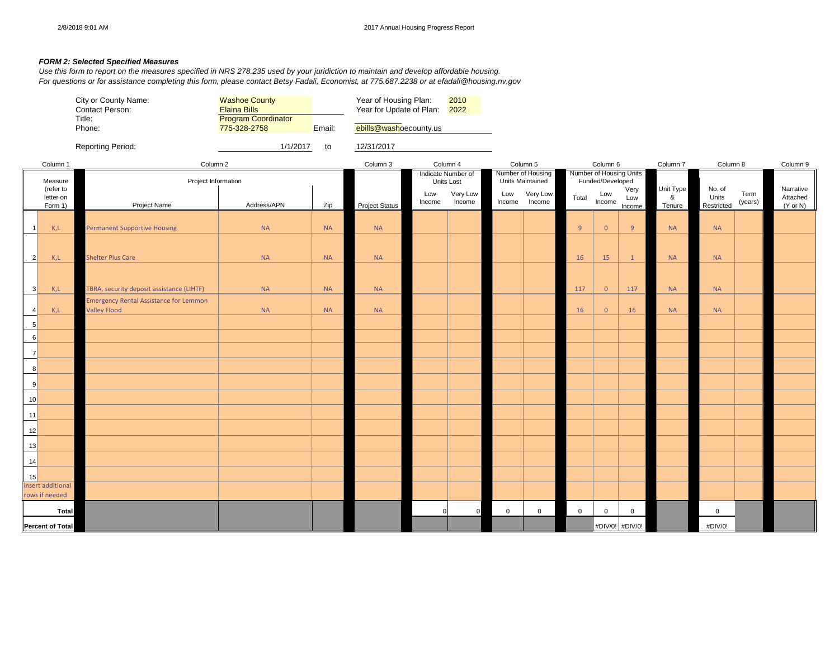|          |                                     | City or County Name:<br>Contact Person:<br>Title:                    | <b>Washoe County</b><br><b>Elaina Bills</b><br><b>Program Coordinator</b> |           | Year of Housing Plan:<br>Year for Update of Plan: |                                  | 2010<br>2022       |             |                                              |              |                                             |                       |                          |                               |                 |                                              |
|----------|-------------------------------------|----------------------------------------------------------------------|---------------------------------------------------------------------------|-----------|---------------------------------------------------|----------------------------------|--------------------|-------------|----------------------------------------------|--------------|---------------------------------------------|-----------------------|--------------------------|-------------------------------|-----------------|----------------------------------------------|
|          |                                     | Phone:                                                               | 775-328-2758                                                              | Email:    | ebills@washoecounty.us                            |                                  |                    |             |                                              |              |                                             |                       |                          |                               |                 |                                              |
|          |                                     | <b>Reporting Period:</b>                                             | 1/1/2017                                                                  | to        | 12/31/2017                                        |                                  |                    |             |                                              |              |                                             |                       |                          |                               |                 |                                              |
|          | Column 1                            | Column 2                                                             |                                                                           |           | Column 3                                          |                                  | Column 4           |             | Column 5                                     |              | Column 6                                    |                       | Column 7                 | Column 8                      |                 | Column 9                                     |
|          | Measure                             | Project Information                                                  |                                                                           |           |                                                   | Indicate Number of<br>Units Lost |                    |             | Number of Housing<br><b>Units Maintained</b> |              | Number of Housing Units<br>Funded/Developed |                       |                          |                               |                 |                                              |
|          | (refer to<br>letter on<br>Form 1)   | Project Name                                                         | Address/APN                                                               | Zip       | <b>Project Status</b>                             | Low<br>Income                    | Very Low<br>Income | Low         | Very Low<br>Income Income                    | Total        | Low<br>Income                               | Very<br>Low<br>Income | Unit Type<br>&<br>Tenure | No. of<br>Units<br>Restricted | Term<br>(years) | Narrative<br>Attached<br>$(Y \text{ or } N)$ |
|          | K,L                                 | <b>Permanent Supportive Housing</b>                                  | <b>NA</b>                                                                 | <b>NA</b> | <b>NA</b>                                         |                                  |                    |             |                                              | 9            | $\overline{0}$                              | 9                     | <b>NA</b>                | <b>NA</b>                     |                 |                                              |
|          |                                     |                                                                      |                                                                           |           |                                                   |                                  |                    |             |                                              |              |                                             |                       |                          |                               |                 |                                              |
| 2        | K,L                                 | <b>Shelter Plus Care</b>                                             | <b>NA</b>                                                                 | NA        | <b>NA</b>                                         |                                  |                    |             |                                              | 16           | 15                                          | $\mathbf{1}$          | <b>NA</b>                | <b>NA</b>                     |                 |                                              |
|          |                                     |                                                                      |                                                                           |           |                                                   |                                  |                    |             |                                              |              |                                             |                       |                          |                               |                 |                                              |
| 3        | K,L                                 | TBRA, security deposit assistance (LIHTF)                            | <b>NA</b>                                                                 | NA        | <b>NA</b>                                         |                                  |                    |             |                                              | 117          | $\overline{0}$                              | 117                   | <b>NA</b>                | <b>NA</b>                     |                 |                                              |
| 4        | K,L                                 | <b>Emergency Rental Assistance for Lemmon</b><br><b>Valley Flood</b> | <b>NA</b>                                                                 | <b>NA</b> | <b>NA</b>                                         |                                  |                    |             |                                              | 16           | $\overline{0}$                              | 16                    | <b>NA</b>                | <b>NA</b>                     |                 |                                              |
| 5        |                                     |                                                                      |                                                                           |           |                                                   |                                  |                    |             |                                              |              |                                             |                       |                          |                               |                 |                                              |
| 6        |                                     |                                                                      |                                                                           |           |                                                   |                                  |                    |             |                                              |              |                                             |                       |                          |                               |                 |                                              |
| 7        |                                     |                                                                      |                                                                           |           |                                                   |                                  |                    |             |                                              |              |                                             |                       |                          |                               |                 |                                              |
| 8        |                                     |                                                                      |                                                                           |           |                                                   |                                  |                    |             |                                              |              |                                             |                       |                          |                               |                 |                                              |
| 9        |                                     |                                                                      |                                                                           |           |                                                   |                                  |                    |             |                                              |              |                                             |                       |                          |                               |                 |                                              |
| 10       |                                     |                                                                      |                                                                           |           |                                                   |                                  |                    |             |                                              |              |                                             |                       |                          |                               |                 |                                              |
| 11       |                                     |                                                                      |                                                                           |           |                                                   |                                  |                    |             |                                              |              |                                             |                       |                          |                               |                 |                                              |
| 12       |                                     |                                                                      |                                                                           |           |                                                   |                                  |                    |             |                                              |              |                                             |                       |                          |                               |                 |                                              |
| 13       |                                     |                                                                      |                                                                           |           |                                                   |                                  |                    |             |                                              |              |                                             |                       |                          |                               |                 |                                              |
| 14<br>15 |                                     |                                                                      |                                                                           |           |                                                   |                                  |                    |             |                                              |              |                                             |                       |                          |                               |                 |                                              |
|          | insert additional<br>rows if needed |                                                                      |                                                                           |           |                                                   |                                  |                    |             |                                              |              |                                             |                       |                          |                               |                 |                                              |
|          | <b>Total</b>                        |                                                                      |                                                                           |           |                                                   | $\mathbf 0$                      | $\Omega$           | $\mathbf 0$ | $\mathbf 0$                                  | $\mathbf{0}$ | $\mathbf 0$                                 | $\mathbf{0}$          |                          | $\mathbf 0$                   |                 |                                              |
|          | Percent of Total                    |                                                                      |                                                                           |           |                                                   |                                  |                    |             |                                              |              | #DIV/0! #DIV/0!                             |                       |                          | #DIV/0!                       |                 |                                              |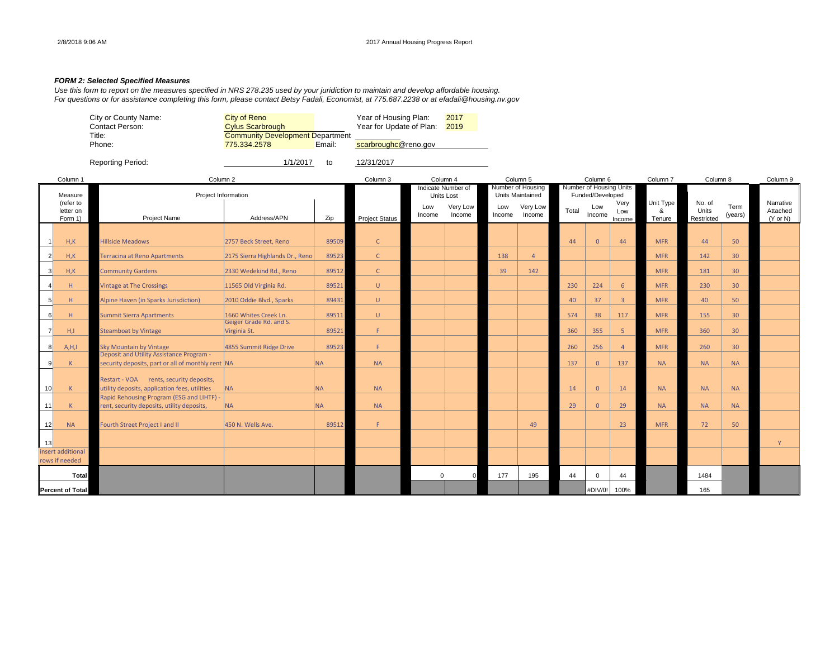| City or County Name:<br>Contact Person:<br>Title:<br>Phone: |              |                                                                                                      | <b>City of Reno</b><br><b>Cylus Scarbrough</b><br><b>Community Development Department</b><br>775.334.2578 | Email:    | Year of Housing Plan:<br>Year for Update of Plan:<br>scarbroughc@reno.gov |                                  | 2017<br>2019 |                                       |                |                                             |                |                |                |                 |           |                       |
|-------------------------------------------------------------|--------------|------------------------------------------------------------------------------------------------------|-----------------------------------------------------------------------------------------------------------|-----------|---------------------------------------------------------------------------|----------------------------------|--------------|---------------------------------------|----------------|---------------------------------------------|----------------|----------------|----------------|-----------------|-----------|-----------------------|
|                                                             |              | <b>Reporting Period:</b>                                                                             | 1/1/2017                                                                                                  | to        | 12/31/2017                                                                |                                  |              |                                       |                |                                             |                |                |                |                 |           |                       |
| Column 1                                                    |              | Column 2                                                                                             |                                                                                                           |           | Column 3                                                                  | Column 4                         |              |                                       | Column 5       | Column 6                                    |                |                | Column 7       | Column 8        |           | Column 9              |
| Measure                                                     |              | Project Information                                                                                  |                                                                                                           |           |                                                                           | Indicate Number of<br>Units Lost |              | Number of Housing<br>Units Maintained |                | Number of Housing Units<br>Funded/Developed |                |                |                |                 |           |                       |
| (refer to<br>letter on                                      |              |                                                                                                      |                                                                                                           |           |                                                                           | Very Low<br>Low                  |              | Very Low<br>Low                       |                | Very<br>Low<br>Total                        |                | Low            | Unit Type<br>& | No. of<br>Units | Term      | Narrative<br>Attached |
|                                                             | Form 1)      | Project Name                                                                                         | Address/APN                                                                                               | Zip       | Project Status                                                            | Income                           | Income       | Income                                | Income         |                                             | Income         | Income         | Tenure         | Restricted      | (years)   | (Y or N)              |
|                                                             | H,K          | <b>Hillside Meadows</b>                                                                              | 2757 Beck Street, Reno                                                                                    | 89509     | $\mathsf{C}$                                                              |                                  |              |                                       |                | 44                                          | $\overline{0}$ | 44             | <b>MFR</b>     | 44              | 50        |                       |
|                                                             | H,K          | <b>Terracina at Reno Apartments</b>                                                                  | 2175 Sierra Highlands Dr., Reno                                                                           | 89523     | $\mathsf{C}$                                                              |                                  |              | 138                                   | $\overline{4}$ |                                             |                |                | <b>MFR</b>     | 142             | 30        |                       |
| 3 <sup>l</sup>                                              | H,K          | <b>Community Gardens</b>                                                                             | 2330 Wedekind Rd., Reno                                                                                   | 89512     | $\mathsf{C}$                                                              |                                  |              | 39                                    | 142            |                                             |                |                | <b>MFR</b>     | 181             | 30        |                       |
|                                                             | Η.           | <b>Vintage at The Crossings</b>                                                                      | 11565 Old Virginia Rd.                                                                                    | 89521     | $\cup$                                                                    |                                  |              |                                       |                | 230                                         | 224            | 6              | <b>MFR</b>     | 230             | 30        |                       |
| 5 <sup>1</sup>                                              | H            | Alpine Haven (in Sparks Jurisdiction)                                                                | 2010 Oddie Blvd., Sparks                                                                                  | 89431     | $\cup$                                                                    |                                  |              |                                       |                | 40                                          | 37             | $\overline{3}$ | <b>MFR</b>     | 40              | 50        |                       |
|                                                             | H            | <b>Summit Sierra Apartments</b>                                                                      | 1660 Whites Creek Ln.                                                                                     | 89511     | $\cup$                                                                    |                                  |              |                                       |                | 574                                         | 38             | 117            | <b>MFR</b>     | 155             | 30        |                       |
|                                                             | H, I         | <b>Steamboat by Vintage</b>                                                                          | Geiger Grade Rd. and S.<br>Virginia St.                                                                   | 89521     | F                                                                         |                                  |              |                                       |                | 360                                         | 355            | 5 <sup>1</sup> | <b>MFR</b>     | 360             | 30        |                       |
| 8 <sup>1</sup>                                              | A,H,I        | <b>Sky Mountain by Vintage</b>                                                                       | 4855 Summit Ridge Drive                                                                                   | 89523     |                                                                           |                                  |              |                                       |                | 260                                         | 256            | $\overline{4}$ | <b>MFR</b>     | 260             | 30        |                       |
| 9                                                           | K            | <b>Deposit and Utility Assistance Program -</b><br>security deposits, part or all of monthly rent NA |                                                                                                           | <b>NA</b> | <b>NA</b>                                                                 |                                  |              |                                       |                | 137                                         | $\overline{0}$ | 137            | <b>NA</b>      | <b>NA</b>       | <b>NA</b> |                       |
| 10                                                          | $\mathsf{K}$ | Restart - VOA rents, security deposits,<br>utility deposits, application fees, utilities             | <b>NA</b>                                                                                                 | NA        | <b>NA</b>                                                                 |                                  |              |                                       |                | 14                                          | $\overline{0}$ | 14             | <b>NA</b>      | <b>NA</b>       | <b>NA</b> |                       |
|                                                             |              | Rapid Rehousing Program (ESG and LIHTF)                                                              |                                                                                                           |           |                                                                           |                                  |              |                                       |                |                                             |                |                |                |                 |           |                       |
| 11                                                          | K            | rent, security deposits, utility deposits,                                                           | <b>NA</b>                                                                                                 | <b>NA</b> | <b>NA</b>                                                                 |                                  |              |                                       |                | 29                                          | $\overline{0}$ | 29             | <b>NA</b>      | <b>NA</b>       | <b>NA</b> |                       |
| 12                                                          | <b>NA</b>    | Fourth Street Project I and II                                                                       | 450 N. Wells Ave.                                                                                         | 89512     | F.                                                                        |                                  |              |                                       | 49             |                                             |                | 23             | <b>MFR</b>     | 72              | 50        |                       |
| 13                                                          |              |                                                                                                      |                                                                                                           |           |                                                                           |                                  |              |                                       |                |                                             |                |                |                |                 |           | <b>V</b>              |
| insert additional<br>rows if needed                         |              |                                                                                                      |                                                                                                           |           |                                                                           |                                  |              |                                       |                |                                             |                |                |                |                 |           |                       |
|                                                             | <b>Total</b> |                                                                                                      |                                                                                                           |           |                                                                           | $\Omega$                         | $\Omega$     | 177                                   | 195            | 44                                          | $\mathbf 0$    | 44             |                | 1484            |           |                       |
| Percent of Total                                            |              |                                                                                                      |                                                                                                           |           |                                                                           |                                  |              |                                       |                |                                             |                | #DIV/0! 100%   |                | 165             |           |                       |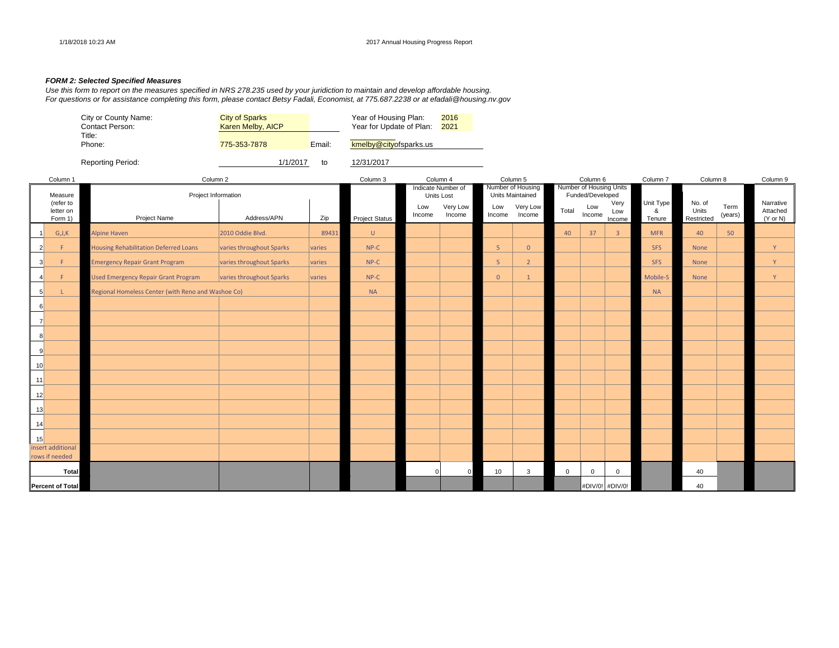| City or County Name:<br>Contact Person:<br>Title:<br>Phone: |                                            |                                                    | <b>City of Sparks</b><br>Karen Melby, AICP |                        | Year of Housing Plan:<br>Year for Update of Plan: 2021 |                                                     | 2016     |                                                          |                |                                             |             |                 |                |                 |         |                       |
|-------------------------------------------------------------|--------------------------------------------|----------------------------------------------------|--------------------------------------------|------------------------|--------------------------------------------------------|-----------------------------------------------------|----------|----------------------------------------------------------|----------------|---------------------------------------------|-------------|-----------------|----------------|-----------------|---------|-----------------------|
|                                                             |                                            | 775-353-7878                                       | Email:                                     | kmelby@cityofsparks.us |                                                        |                                                     |          |                                                          |                |                                             |             |                 |                |                 |         |                       |
|                                                             | <b>Reporting Period:</b><br>1/1/2017<br>to |                                                    |                                            |                        | 12/31/2017                                             |                                                     |          |                                                          |                |                                             |             |                 |                |                 |         |                       |
|                                                             | Column 1<br>Column 2                       |                                                    |                                            | Column 3<br>Column 4   |                                                        | Column 5                                            |          | Column 6                                                 |                |                                             | Column 7    | Column 8        |                | Column 9        |         |                       |
|                                                             | Measure                                    | Project Information                                |                                            |                        |                                                        | Indicate Number of<br>Units Lost<br>Very Low<br>Low |          | Number of Housing<br>Units Maintained<br>Very Low<br>Low |                | Number of Housing Units<br>Funded/Developed |             |                 | Unit Type<br>& | No. of<br>Units | Term    | Narrative<br>Attached |
| (refer to<br>letter on                                      |                                            |                                                    |                                            |                        |                                                        |                                                     |          |                                                          |                | Very<br>Low<br>Low<br>Total                 |             |                 |                |                 |         |                       |
|                                                             | Form 1)                                    | Project Name                                       | Address/APN                                | Zip                    | <b>Project Status</b>                                  | Income                                              | Income   | Income                                                   | Income         |                                             | Income      | Income          | Tenure         | Restricted      | (years) | $(Y \text{ or } N)$   |
|                                                             | G, J, K                                    | <b>Alpine Haven</b>                                | 2010 Oddie Blvd.                           | 89431                  | $\mathsf{U}$                                           |                                                     |          |                                                          |                | 40                                          | 37          | $\overline{3}$  | <b>MFR</b>     | 40              | 50      |                       |
| 2 <sup>1</sup>                                              |                                            | <b>Housing Rehabilitation Deferred Loans</b>       | varies throughout Sparks                   | varies                 | NP-C                                                   |                                                     |          | 5                                                        | $\overline{0}$ |                                             |             |                 | <b>SFS</b>     | <b>None</b>     |         |                       |
|                                                             | F                                          | <b>Emergency Repair Grant Program</b>              | varies throughout Sparks                   | varies                 | $NP-C$                                                 |                                                     |          | 5                                                        | $\overline{2}$ |                                             |             |                 | <b>SFS</b>     | <b>None</b>     |         | $\vee$                |
|                                                             | F                                          | <b>Used Emergency Repair Grant Program</b>         | varies throughout Sparks                   | varies                 | NP-C                                                   |                                                     |          | $\overline{0}$                                           | $\mathbf{1}$   |                                             |             |                 | Mobile-S       | None            |         | Y                     |
| 5 <sup>1</sup>                                              |                                            | Regional Homeless Center (with Reno and Washoe Co) |                                            |                        | <b>NA</b>                                              |                                                     |          |                                                          |                |                                             |             |                 | <b>NA</b>      |                 |         |                       |
| 6                                                           |                                            |                                                    |                                            |                        |                                                        |                                                     |          |                                                          |                |                                             |             |                 |                |                 |         |                       |
| $\overline{7}$                                              |                                            |                                                    |                                            |                        |                                                        |                                                     |          |                                                          |                |                                             |             |                 |                |                 |         |                       |
| 8 <sup>1</sup>                                              |                                            |                                                    |                                            |                        |                                                        |                                                     |          |                                                          |                |                                             |             |                 |                |                 |         |                       |
| 9                                                           |                                            |                                                    |                                            |                        |                                                        |                                                     |          |                                                          |                |                                             |             |                 |                |                 |         |                       |
| 10                                                          |                                            |                                                    |                                            |                        |                                                        |                                                     |          |                                                          |                |                                             |             |                 |                |                 |         |                       |
| 11                                                          |                                            |                                                    |                                            |                        |                                                        |                                                     |          |                                                          |                |                                             |             |                 |                |                 |         |                       |
| 12                                                          |                                            |                                                    |                                            |                        |                                                        |                                                     |          |                                                          |                |                                             |             |                 |                |                 |         |                       |
| 13                                                          |                                            |                                                    |                                            |                        |                                                        |                                                     |          |                                                          |                |                                             |             |                 |                |                 |         |                       |
| 14                                                          |                                            |                                                    |                                            |                        |                                                        |                                                     |          |                                                          |                |                                             |             |                 |                |                 |         |                       |
| 15                                                          |                                            |                                                    |                                            |                        |                                                        |                                                     |          |                                                          |                |                                             |             |                 |                |                 |         |                       |
|                                                             | insert additional<br>rows if needed        |                                                    |                                            |                        |                                                        |                                                     |          |                                                          |                |                                             |             |                 |                |                 |         |                       |
|                                                             | <b>Total</b>                               |                                                    |                                            |                        |                                                        | $\Omega$                                            | $\Omega$ | 10                                                       | 3              | $\mathsf 0$                                 | $\mathbf 0$ | $\mathbf 0$     |                | 40              |         |                       |
| Percent of Total                                            |                                            |                                                    |                                            |                        |                                                        |                                                     |          |                                                          |                |                                             |             | #DIV/0! #DIV/0! |                | 40              |         |                       |